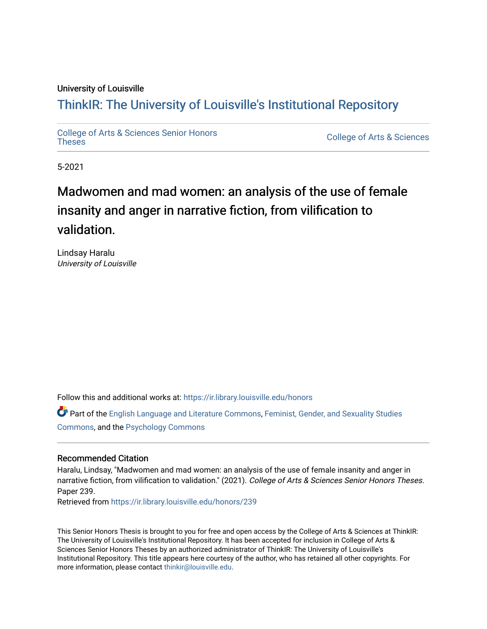# University of Louisville

# ThinkIR: The Univ[ersity of Louisville's Institutional Reposit](https://ir.library.louisville.edu/)ory

[College of Arts & Sciences Senior Honors](https://ir.library.louisville.edu/honors)

College of Arts & Sciences

5-2021

# Madwomen and mad women: an analysis of the use of female insanity and anger in narrative fiction, from vilification to validation.

Lindsay Haralu University of Louisville

Follow this and additional works at: [https://ir.library.louisville.edu/honors](https://ir.library.louisville.edu/honors?utm_source=ir.library.louisville.edu%2Fhonors%2F239&utm_medium=PDF&utm_campaign=PDFCoverPages)

Part of the [English Language and Literature Commons](http://network.bepress.com/hgg/discipline/455?utm_source=ir.library.louisville.edu%2Fhonors%2F239&utm_medium=PDF&utm_campaign=PDFCoverPages), [Feminist, Gender, and Sexuality Studies](http://network.bepress.com/hgg/discipline/559?utm_source=ir.library.louisville.edu%2Fhonors%2F239&utm_medium=PDF&utm_campaign=PDFCoverPages)  [Commons](http://network.bepress.com/hgg/discipline/559?utm_source=ir.library.louisville.edu%2Fhonors%2F239&utm_medium=PDF&utm_campaign=PDFCoverPages), and the [Psychology Commons](http://network.bepress.com/hgg/discipline/404?utm_source=ir.library.louisville.edu%2Fhonors%2F239&utm_medium=PDF&utm_campaign=PDFCoverPages) 

# Recommended Citation

Haralu, Lindsay, "Madwomen and mad women: an analysis of the use of female insanity and anger in narrative fiction, from vilification to validation." (2021). College of Arts & Sciences Senior Honors Theses. Paper 239.

Retrieved from [https://ir.library.louisville.edu/honors/239](https://ir.library.louisville.edu/honors/239?utm_source=ir.library.louisville.edu%2Fhonors%2F239&utm_medium=PDF&utm_campaign=PDFCoverPages) 

This Senior Honors Thesis is brought to you for free and open access by the College of Arts & Sciences at ThinkIR: The University of Louisville's Institutional Repository. It has been accepted for inclusion in College of Arts & Sciences Senior Honors Theses by an authorized administrator of ThinkIR: The University of Louisville's Institutional Repository. This title appears here courtesy of the author, who has retained all other copyrights. For more information, please contact [thinkir@louisville.edu](mailto:thinkir@louisville.edu).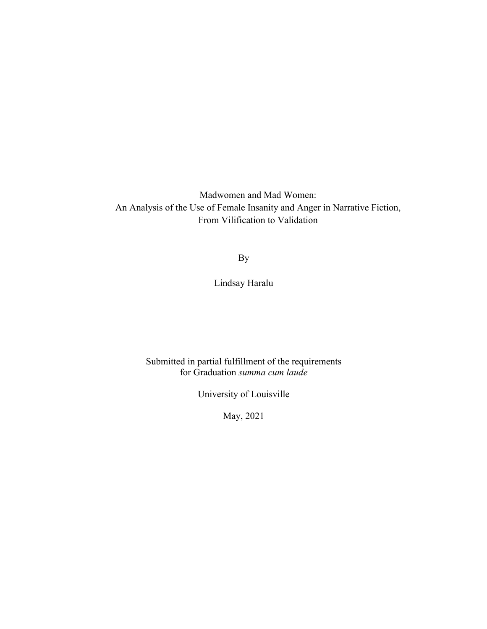Madwomen and Mad Women: An Analysis of the Use of Female Insanity and Anger in Narrative Fiction, From Vilification to Validation

By

Lindsay Haralu

Submitted in partial fulfillment of the requirements for Graduation *summa cum laude*

University of Louisville

May, 2021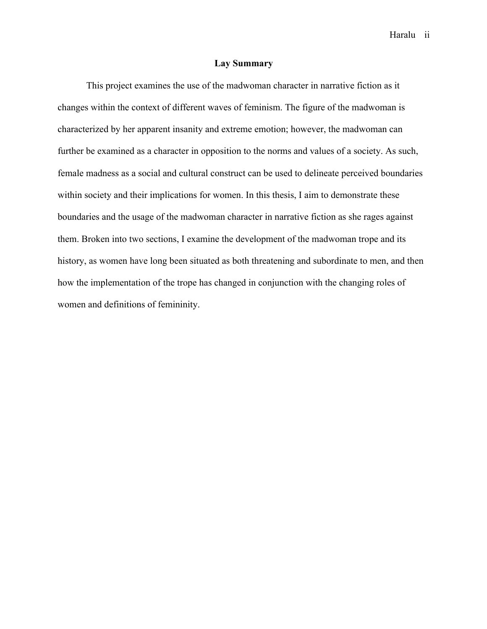Haralu ii

# **Lay Summary**

This project examines the use of the madwoman character in narrative fiction as it changes within the context of different waves of feminism. The figure of the madwoman is characterized by her apparent insanity and extreme emotion; however, the madwoman can further be examined as a character in opposition to the norms and values of a society. As such, female madness as a social and cultural construct can be used to delineate perceived boundaries within society and their implications for women. In this thesis, I aim to demonstrate these boundaries and the usage of the madwoman character in narrative fiction as she rages against them. Broken into two sections, I examine the development of the madwoman trope and its history, as women have long been situated as both threatening and subordinate to men, and then how the implementation of the trope has changed in conjunction with the changing roles of women and definitions of femininity.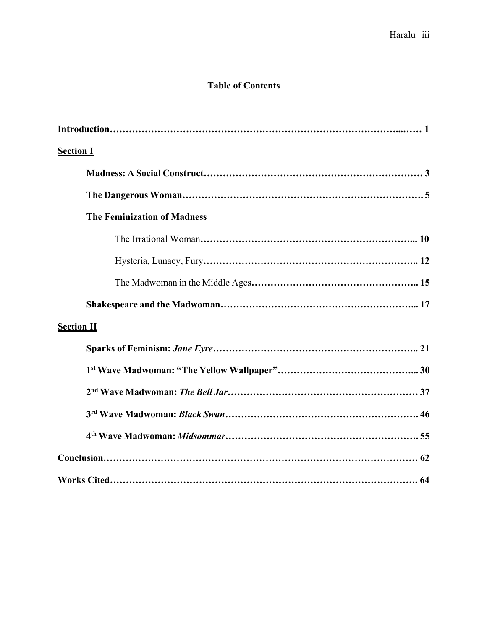# **Table of Contents**

| <b>Section I</b>                   |
|------------------------------------|
|                                    |
|                                    |
| <b>The Feminization of Madness</b> |
|                                    |
|                                    |
|                                    |
|                                    |
| <b>Section II</b>                  |
|                                    |
|                                    |
|                                    |
|                                    |
|                                    |
|                                    |
|                                    |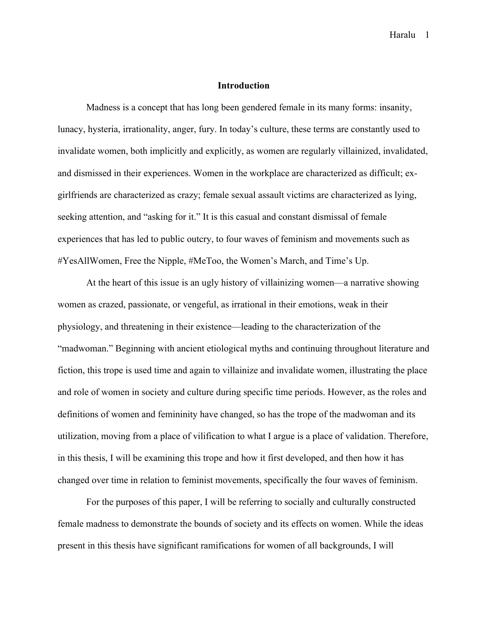# **Introduction**

Madness is a concept that has long been gendered female in its many forms: insanity, lunacy, hysteria, irrationality, anger, fury. In today's culture, these terms are constantly used to invalidate women, both implicitly and explicitly, as women are regularly villainized, invalidated, and dismissed in their experiences. Women in the workplace are characterized as difficult; exgirlfriends are characterized as crazy; female sexual assault victims are characterized as lying, seeking attention, and "asking for it." It is this casual and constant dismissal of female experiences that has led to public outcry, to four waves of feminism and movements such as #YesAllWomen, Free the Nipple, #MeToo, the Women's March, and Time's Up.

At the heart of this issue is an ugly history of villainizing women—a narrative showing women as crazed, passionate, or vengeful, as irrational in their emotions, weak in their physiology, and threatening in their existence—leading to the characterization of the "madwoman." Beginning with ancient etiological myths and continuing throughout literature and fiction, this trope is used time and again to villainize and invalidate women, illustrating the place and role of women in society and culture during specific time periods. However, as the roles and definitions of women and femininity have changed, so has the trope of the madwoman and its utilization, moving from a place of vilification to what I argue is a place of validation. Therefore, in this thesis, I will be examining this trope and how it first developed, and then how it has changed over time in relation to feminist movements, specifically the four waves of feminism.

For the purposes of this paper, I will be referring to socially and culturally constructed female madness to demonstrate the bounds of society and its effects on women. While the ideas present in this thesis have significant ramifications for women of all backgrounds, I will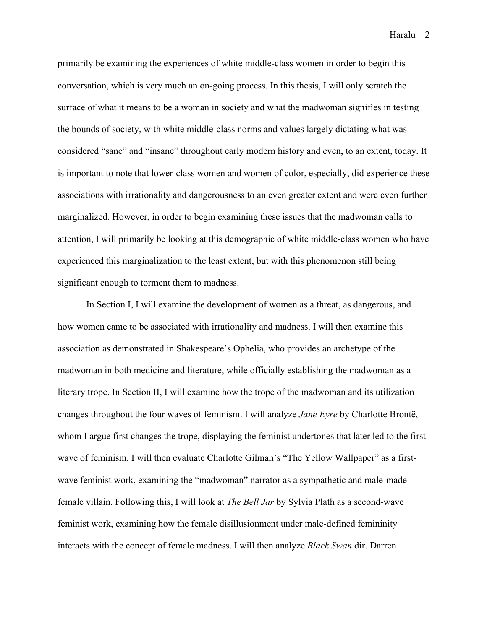primarily be examining the experiences of white middle-class women in order to begin this conversation, which is very much an on-going process. In this thesis, I will only scratch the surface of what it means to be a woman in society and what the madwoman signifies in testing the bounds of society, with white middle-class norms and values largely dictating what was considered "sane" and "insane" throughout early modern history and even, to an extent, today. It is important to note that lower-class women and women of color, especially, did experience these associations with irrationality and dangerousness to an even greater extent and were even further marginalized. However, in order to begin examining these issues that the madwoman calls to attention, I will primarily be looking at this demographic of white middle-class women who have experienced this marginalization to the least extent, but with this phenomenon still being significant enough to torment them to madness.

In Section I, I will examine the development of women as a threat, as dangerous, and how women came to be associated with irrationality and madness. I will then examine this association as demonstrated in Shakespeare's Ophelia, who provides an archetype of the madwoman in both medicine and literature, while officially establishing the madwoman as a literary trope. In Section II, I will examine how the trope of the madwoman and its utilization changes throughout the four waves of feminism. I will analyze *Jane Eyre* by Charlotte Brontë, whom I argue first changes the trope, displaying the feminist undertones that later led to the first wave of feminism. I will then evaluate Charlotte Gilman's "The Yellow Wallpaper" as a firstwave feminist work, examining the "madwoman" narrator as a sympathetic and male-made female villain. Following this, I will look at *The Bell Jar* by Sylvia Plath as a second-wave feminist work, examining how the female disillusionment under male-defined femininity interacts with the concept of female madness. I will then analyze *Black Swan* dir. Darren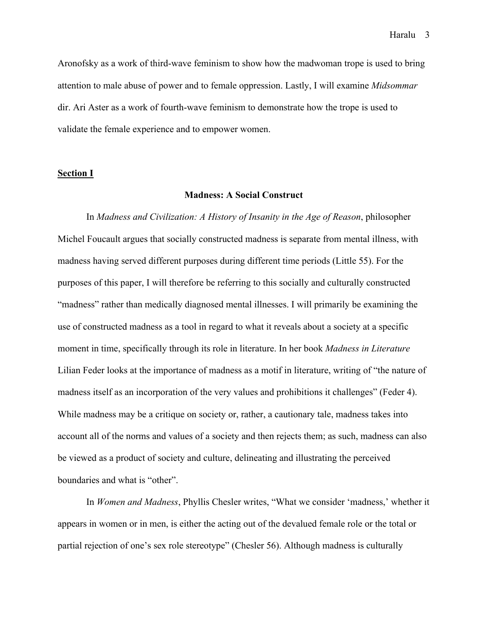Aronofsky as a work of third-wave feminism to show how the madwoman trope is used to bring attention to male abuse of power and to female oppression. Lastly, I will examine *Midsommar*  dir. Ari Aster as a work of fourth-wave feminism to demonstrate how the trope is used to validate the female experience and to empower women.

#### **Section I**

# **Madness: A Social Construct**

In *Madness and Civilization: A History of Insanity in the Age of Reason*, philosopher Michel Foucault argues that socially constructed madness is separate from mental illness, with madness having served different purposes during different time periods (Little 55). For the purposes of this paper, I will therefore be referring to this socially and culturally constructed "madness" rather than medically diagnosed mental illnesses. I will primarily be examining the use of constructed madness as a tool in regard to what it reveals about a society at a specific moment in time, specifically through its role in literature. In her book *Madness in Literature* Lilian Feder looks at the importance of madness as a motif in literature, writing of "the nature of madness itself as an incorporation of the very values and prohibitions it challenges" (Feder 4). While madness may be a critique on society or, rather, a cautionary tale, madness takes into account all of the norms and values of a society and then rejects them; as such, madness can also be viewed as a product of society and culture, delineating and illustrating the perceived boundaries and what is "other".

In *Women and Madness*, Phyllis Chesler writes, "What we consider 'madness,' whether it appears in women or in men, is either the acting out of the devalued female role or the total or partial rejection of one's sex role stereotype" (Chesler 56). Although madness is culturally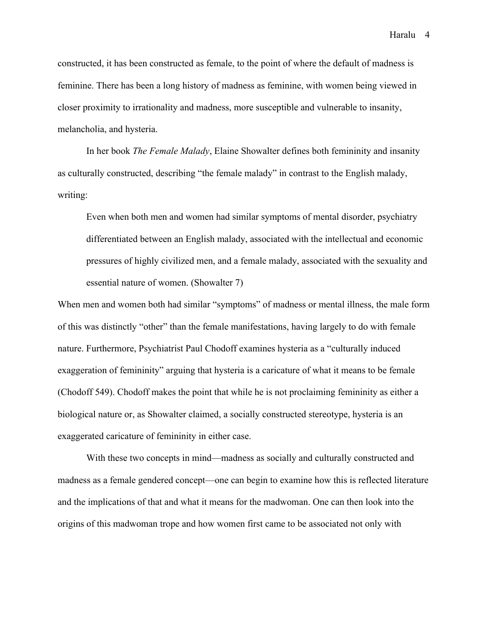constructed, it has been constructed as female, to the point of where the default of madness is feminine. There has been a long history of madness as feminine, with women being viewed in closer proximity to irrationality and madness, more susceptible and vulnerable to insanity, melancholia, and hysteria.

In her book *The Female Malady*, Elaine Showalter defines both femininity and insanity as culturally constructed, describing "the female malady" in contrast to the English malady, writing:

Even when both men and women had similar symptoms of mental disorder, psychiatry differentiated between an English malady, associated with the intellectual and economic pressures of highly civilized men, and a female malady, associated with the sexuality and essential nature of women. (Showalter 7)

When men and women both had similar "symptoms" of madness or mental illness, the male form of this was distinctly "other" than the female manifestations, having largely to do with female nature. Furthermore, Psychiatrist Paul Chodoff examines hysteria as a "culturally induced exaggeration of femininity" arguing that hysteria is a caricature of what it means to be female (Chodoff 549). Chodoff makes the point that while he is not proclaiming femininity as either a biological nature or, as Showalter claimed, a socially constructed stereotype, hysteria is an exaggerated caricature of femininity in either case.

With these two concepts in mind—madness as socially and culturally constructed and madness as a female gendered concept—one can begin to examine how this is reflected literature and the implications of that and what it means for the madwoman. One can then look into the origins of this madwoman trope and how women first came to be associated not only with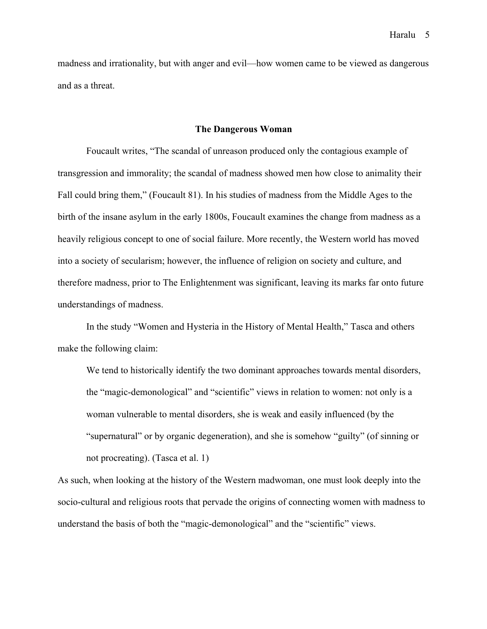madness and irrationality, but with anger and evil—how women came to be viewed as dangerous and as a threat.

#### **The Dangerous Woman**

Foucault writes, "The scandal of unreason produced only the contagious example of transgression and immorality; the scandal of madness showed men how close to animality their Fall could bring them," (Foucault 81). In his studies of madness from the Middle Ages to the birth of the insane asylum in the early 1800s, Foucault examines the change from madness as a heavily religious concept to one of social failure. More recently, the Western world has moved into a society of secularism; however, the influence of religion on society and culture, and therefore madness, prior to The Enlightenment was significant, leaving its marks far onto future understandings of madness.

In the study "Women and Hysteria in the History of Mental Health," Tasca and others make the following claim:

We tend to historically identify the two dominant approaches towards mental disorders, the "magic-demonological" and "scientific" views in relation to women: not only is a woman vulnerable to mental disorders, she is weak and easily influenced (by the "supernatural" or by organic degeneration), and she is somehow "guilty" (of sinning or not procreating). (Tasca et al. 1)

As such, when looking at the history of the Western madwoman, one must look deeply into the socio-cultural and religious roots that pervade the origins of connecting women with madness to understand the basis of both the "magic-demonological" and the "scientific" views.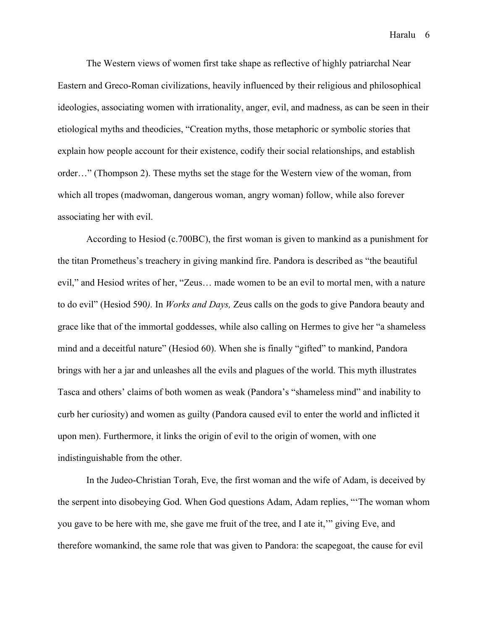The Western views of women first take shape as reflective of highly patriarchal Near Eastern and Greco-Roman civilizations, heavily influenced by their religious and philosophical ideologies, associating women with irrationality, anger, evil, and madness, as can be seen in their etiological myths and theodicies, "Creation myths, those metaphoric or symbolic stories that explain how people account for their existence, codify their social relationships, and establish order…" (Thompson 2). These myths set the stage for the Western view of the woman, from which all tropes (madwoman, dangerous woman, angry woman) follow, while also forever associating her with evil.

According to Hesiod (c.700BC), the first woman is given to mankind as a punishment for the titan Prometheus's treachery in giving mankind fire. Pandora is described as "the beautiful evil," and Hesiod writes of her, "Zeus… made women to be an evil to mortal men, with a nature to do evil" (Hesiod 590*).* In *Works and Days,* Zeus calls on the gods to give Pandora beauty and grace like that of the immortal goddesses, while also calling on Hermes to give her "a shameless mind and a deceitful nature" (Hesiod 60). When she is finally "gifted" to mankind, Pandora brings with her a jar and unleashes all the evils and plagues of the world. This myth illustrates Tasca and others' claims of both women as weak (Pandora's "shameless mind" and inability to curb her curiosity) and women as guilty (Pandora caused evil to enter the world and inflicted it upon men). Furthermore, it links the origin of evil to the origin of women, with one indistinguishable from the other.

In the Judeo-Christian Torah, Eve, the first woman and the wife of Adam, is deceived by the serpent into disobeying God. When God questions Adam, Adam replies, "'The woman whom you gave to be here with me, she gave me fruit of the tree, and I ate it,'" giving Eve, and therefore womankind, the same role that was given to Pandora: the scapegoat, the cause for evil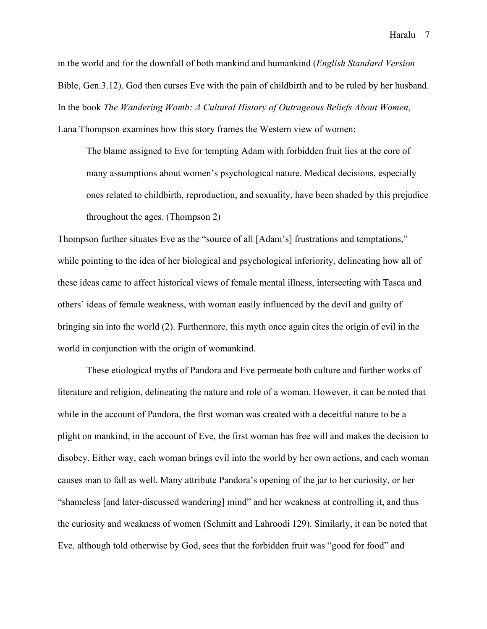in the world and for the downfall of both mankind and humankind (*English Standard Version* Bible, Gen.3.12). God then curses Eve with the pain of childbirth and to be ruled by her husband. In the book *The Wandering Womb: A Cultural History of Outrageous Beliefs About Women*, Lana Thompson examines how this story frames the Western view of women:

The blame assigned to Eve for tempting Adam with forbidden fruit lies at the core of many assumptions about women's psychological nature. Medical decisions, especially ones related to childbirth, reproduction, and sexuality, have been shaded by this prejudice throughout the ages. (Thompson 2)

Thompson further situates Eve as the "source of all [Adam's] frustrations and temptations," while pointing to the idea of her biological and psychological inferiority, delineating how all of these ideas came to affect historical views of female mental illness, intersecting with Tasca and others' ideas of female weakness, with woman easily influenced by the devil and guilty of bringing sin into the world (2). Furthermore, this myth once again cites the origin of evil in the world in conjunction with the origin of womankind.

These etiological myths of Pandora and Eve permeate both culture and further works of literature and religion, delineating the nature and role of a woman. However, it can be noted that while in the account of Pandora, the first woman was created with a deceitful nature to be a plight on mankind, in the account of Eve, the first woman has free will and makes the decision to disobey. Either way, each woman brings evil into the world by her own actions, and each woman causes man to fall as well. Many attribute Pandora's opening of the jar to her curiosity, or her "shameless [and later-discussed wandering] mind" and her weakness at controlling it, and thus the curiosity and weakness of women (Schmitt and Lahroodi 129). Similarly, it can be noted that Eve, although told otherwise by God, sees that the forbidden fruit was "good for food" and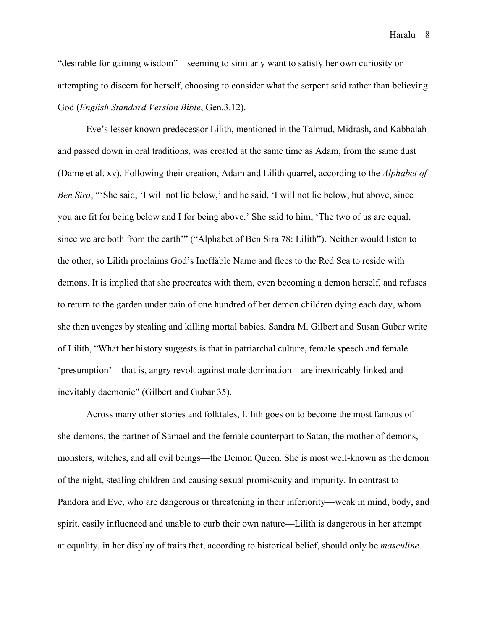"desirable for gaining wisdom"—seeming to similarly want to satisfy her own curiosity or attempting to discern for herself, choosing to consider what the serpent said rather than believing God (*English Standard Version Bible*, Gen.3.12).

Eve's lesser known predecessor Lilith, mentioned in the Talmud, Midrash, and Kabbalah and passed down in oral traditions, was created at the same time as Adam, from the same dust (Dame et al. xv). Following their creation, Adam and Lilith quarrel, according to the *Alphabet of Ben Sira*, "'She said, 'I will not lie below,' and he said, 'I will not lie below, but above, since you are fit for being below and I for being above.' She said to him, 'The two of us are equal, since we are both from the earth'" ("Alphabet of Ben Sira 78: Lilith"). Neither would listen to the other, so Lilith proclaims God's Ineffable Name and flees to the Red Sea to reside with demons. It is implied that she procreates with them, even becoming a demon herself, and refuses to return to the garden under pain of one hundred of her demon children dying each day, whom she then avenges by stealing and killing mortal babies. Sandra M. Gilbert and Susan Gubar write of Lilith, "What her history suggests is that in patriarchal culture, female speech and female 'presumption'—that is, angry revolt against male domination—are inextricably linked and inevitably daemonic" (Gilbert and Gubar 35).

Across many other stories and folktales, Lilith goes on to become the most famous of she-demons, the partner of Samael and the female counterpart to Satan, the mother of demons, monsters, witches, and all evil beings—the Demon Queen. She is most well-known as the demon of the night, stealing children and causing sexual promiscuity and impurity. In contrast to Pandora and Eve, who are dangerous or threatening in their inferiority—weak in mind, body, and spirit, easily influenced and unable to curb their own nature—Lilith is dangerous in her attempt at equality, in her display of traits that, according to historical belief, should only be *masculine*.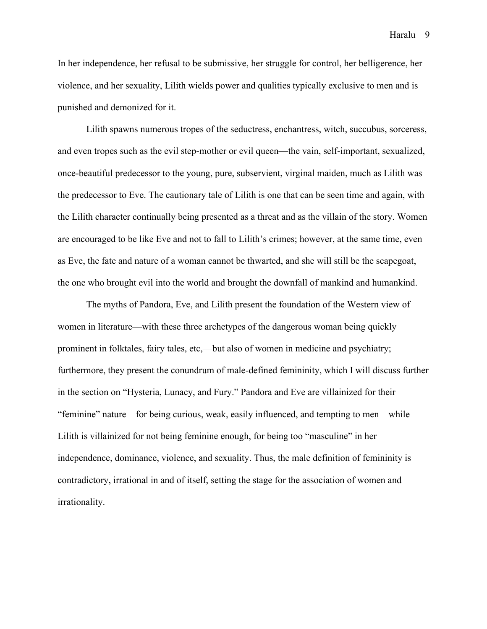In her independence, her refusal to be submissive, her struggle for control, her belligerence, her violence, and her sexuality, Lilith wields power and qualities typically exclusive to men and is punished and demonized for it.

Lilith spawns numerous tropes of the seductress, enchantress, witch, succubus, sorceress, and even tropes such as the evil step-mother or evil queen—the vain, self-important, sexualized, once-beautiful predecessor to the young, pure, subservient, virginal maiden, much as Lilith was the predecessor to Eve. The cautionary tale of Lilith is one that can be seen time and again, with the Lilith character continually being presented as a threat and as the villain of the story. Women are encouraged to be like Eve and not to fall to Lilith's crimes; however, at the same time, even as Eve, the fate and nature of a woman cannot be thwarted, and she will still be the scapegoat, the one who brought evil into the world and brought the downfall of mankind and humankind.

The myths of Pandora, Eve, and Lilith present the foundation of the Western view of women in literature—with these three archetypes of the dangerous woman being quickly prominent in folktales, fairy tales, etc,—but also of women in medicine and psychiatry; furthermore, they present the conundrum of male-defined femininity, which I will discuss further in the section on "Hysteria, Lunacy, and Fury." Pandora and Eve are villainized for their "feminine" nature—for being curious, weak, easily influenced, and tempting to men—while Lilith is villainized for not being feminine enough, for being too "masculine" in her independence, dominance, violence, and sexuality. Thus, the male definition of femininity is contradictory, irrational in and of itself, setting the stage for the association of women and irrationality.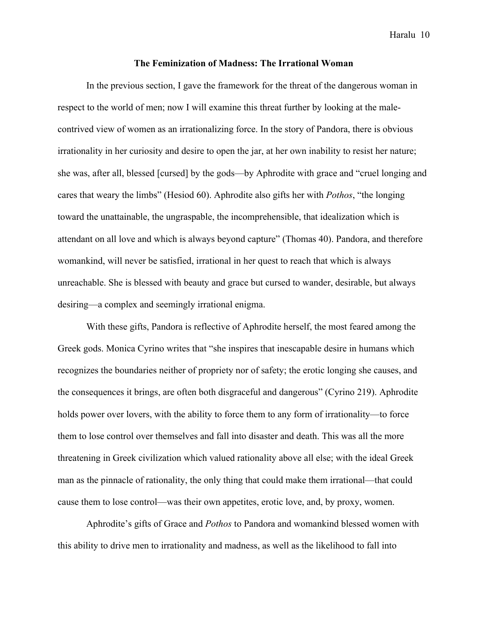## **The Feminization of Madness: The Irrational Woman**

In the previous section, I gave the framework for the threat of the dangerous woman in respect to the world of men; now I will examine this threat further by looking at the malecontrived view of women as an irrationalizing force. In the story of Pandora, there is obvious irrationality in her curiosity and desire to open the jar, at her own inability to resist her nature; she was, after all, blessed [cursed] by the gods—by Aphrodite with grace and "cruel longing and cares that weary the limbs" (Hesiod 60). Aphrodite also gifts her with *Pothos*, "the longing toward the unattainable, the ungraspable, the incomprehensible, that idealization which is attendant on all love and which is always beyond capture" (Thomas 40). Pandora, and therefore womankind, will never be satisfied, irrational in her quest to reach that which is always unreachable. She is blessed with beauty and grace but cursed to wander, desirable, but always desiring—a complex and seemingly irrational enigma.

With these gifts, Pandora is reflective of Aphrodite herself, the most feared among the Greek gods. Monica Cyrino writes that "she inspires that inescapable desire in humans which recognizes the boundaries neither of propriety nor of safety; the erotic longing she causes, and the consequences it brings, are often both disgraceful and dangerous" (Cyrino 219). Aphrodite holds power over lovers, with the ability to force them to any form of irrationality—to force them to lose control over themselves and fall into disaster and death. This was all the more threatening in Greek civilization which valued rationality above all else; with the ideal Greek man as the pinnacle of rationality, the only thing that could make them irrational—that could cause them to lose control—was their own appetites, erotic love, and, by proxy, women.

Aphrodite's gifts of Grace and *Pothos* to Pandora and womankind blessed women with this ability to drive men to irrationality and madness, as well as the likelihood to fall into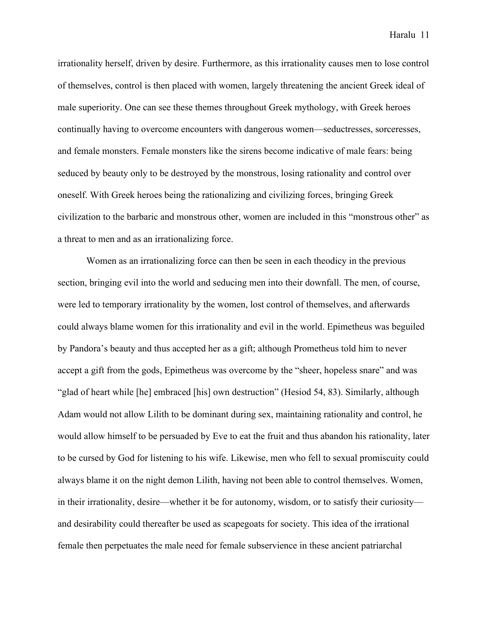irrationality herself, driven by desire. Furthermore, as this irrationality causes men to lose control of themselves, control is then placed with women, largely threatening the ancient Greek ideal of male superiority. One can see these themes throughout Greek mythology, with Greek heroes continually having to overcome encounters with dangerous women—seductresses, sorceresses, and female monsters. Female monsters like the sirens become indicative of male fears: being seduced by beauty only to be destroyed by the monstrous, losing rationality and control over oneself. With Greek heroes being the rationalizing and civilizing forces, bringing Greek civilization to the barbaric and monstrous other, women are included in this "monstrous other" as a threat to men and as an irrationalizing force.

Women as an irrationalizing force can then be seen in each theodicy in the previous section, bringing evil into the world and seducing men into their downfall. The men, of course, were led to temporary irrationality by the women, lost control of themselves, and afterwards could always blame women for this irrationality and evil in the world. Epimetheus was beguiled by Pandora's beauty and thus accepted her as a gift; although Prometheus told him to never accept a gift from the gods, Epimetheus was overcome by the "sheer, hopeless snare" and was "glad of heart while [he] embraced [his] own destruction" (Hesiod 54, 83). Similarly, although Adam would not allow Lilith to be dominant during sex, maintaining rationality and control, he would allow himself to be persuaded by Eve to eat the fruit and thus abandon his rationality, later to be cursed by God for listening to his wife. Likewise, men who fell to sexual promiscuity could always blame it on the night demon Lilith, having not been able to control themselves. Women, in their irrationality, desire—whether it be for autonomy, wisdom, or to satisfy their curiosity and desirability could thereafter be used as scapegoats for society. This idea of the irrational female then perpetuates the male need for female subservience in these ancient patriarchal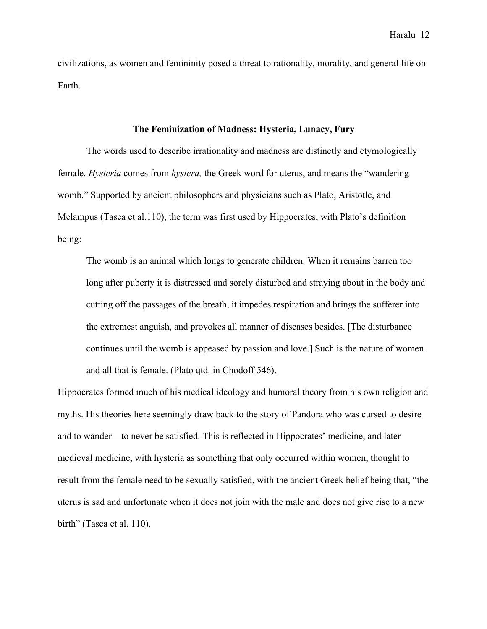civilizations, as women and femininity posed a threat to rationality, morality, and general life on Earth.

## **The Feminization of Madness: Hysteria, Lunacy, Fury**

The words used to describe irrationality and madness are distinctly and etymologically female. *Hysteria* comes from *hystera,* the Greek word for uterus, and means the "wandering womb." Supported by ancient philosophers and physicians such as Plato, Aristotle, and Melampus (Tasca et al.110), the term was first used by Hippocrates, with Plato's definition being:

The womb is an animal which longs to generate children. When it remains barren too long after puberty it is distressed and sorely disturbed and straying about in the body and cutting off the passages of the breath, it impedes respiration and brings the sufferer into the extremest anguish, and provokes all manner of diseases besides. [The disturbance continues until the womb is appeased by passion and love.] Such is the nature of women and all that is female. (Plato qtd. in Chodoff 546).

Hippocrates formed much of his medical ideology and humoral theory from his own religion and myths. His theories here seemingly draw back to the story of Pandora who was cursed to desire and to wander—to never be satisfied. This is reflected in Hippocrates' medicine, and later medieval medicine, with hysteria as something that only occurred within women, thought to result from the female need to be sexually satisfied, with the ancient Greek belief being that, "the uterus is sad and unfortunate when it does not join with the male and does not give rise to a new birth" (Tasca et al. 110).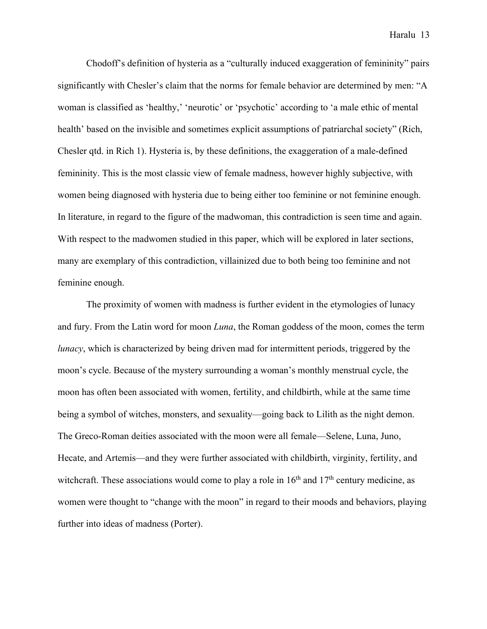Chodoff's definition of hysteria as a "culturally induced exaggeration of femininity" pairs significantly with Chesler's claim that the norms for female behavior are determined by men: "A woman is classified as 'healthy,' 'neurotic' or 'psychotic' according to 'a male ethic of mental health' based on the invisible and sometimes explicit assumptions of patriarchal society" (Rich, Chesler qtd. in Rich 1). Hysteria is, by these definitions, the exaggeration of a male-defined femininity. This is the most classic view of female madness, however highly subjective, with women being diagnosed with hysteria due to being either too feminine or not feminine enough. In literature, in regard to the figure of the madwoman, this contradiction is seen time and again. With respect to the madwomen studied in this paper, which will be explored in later sections, many are exemplary of this contradiction, villainized due to both being too feminine and not feminine enough.

The proximity of women with madness is further evident in the etymologies of lunacy and fury. From the Latin word for moon *Luna*, the Roman goddess of the moon, comes the term *lunacy*, which is characterized by being driven mad for intermittent periods, triggered by the moon's cycle. Because of the mystery surrounding a woman's monthly menstrual cycle, the moon has often been associated with women, fertility, and childbirth, while at the same time being a symbol of witches, monsters, and sexuality—going back to Lilith as the night demon. The Greco-Roman deities associated with the moon were all female—Selene, Luna, Juno, Hecate, and Artemis—and they were further associated with childbirth, virginity, fertility, and witchcraft. These associations would come to play a role in  $16<sup>th</sup>$  and  $17<sup>th</sup>$  century medicine, as women were thought to "change with the moon" in regard to their moods and behaviors, playing further into ideas of madness (Porter).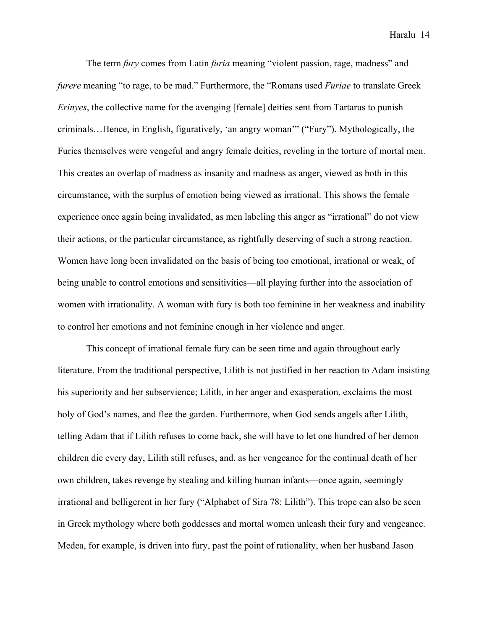The term *fury* comes from Latin *furia* meaning "violent passion, rage, madness" and *furere* meaning "to rage, to be mad." Furthermore, the "Romans used *Furiae* to translate Greek *Erinyes*, the collective name for the avenging [female] deities sent from Tartarus to punish criminals…Hence, in English, figuratively, 'an angry woman'" ("Fury"). Mythologically, the Furies themselves were vengeful and angry female deities, reveling in the torture of mortal men. This creates an overlap of madness as insanity and madness as anger, viewed as both in this circumstance, with the surplus of emotion being viewed as irrational. This shows the female experience once again being invalidated, as men labeling this anger as "irrational" do not view their actions, or the particular circumstance, as rightfully deserving of such a strong reaction. Women have long been invalidated on the basis of being too emotional, irrational or weak, of being unable to control emotions and sensitivities—all playing further into the association of women with irrationality. A woman with fury is both too feminine in her weakness and inability to control her emotions and not feminine enough in her violence and anger.

This concept of irrational female fury can be seen time and again throughout early literature. From the traditional perspective, Lilith is not justified in her reaction to Adam insisting his superiority and her subservience; Lilith, in her anger and exasperation, exclaims the most holy of God's names, and flee the garden. Furthermore, when God sends angels after Lilith, telling Adam that if Lilith refuses to come back, she will have to let one hundred of her demon children die every day, Lilith still refuses, and, as her vengeance for the continual death of her own children, takes revenge by stealing and killing human infants—once again, seemingly irrational and belligerent in her fury ("Alphabet of Sira 78: Lilith"). This trope can also be seen in Greek mythology where both goddesses and mortal women unleash their fury and vengeance. Medea, for example, is driven into fury, past the point of rationality, when her husband Jason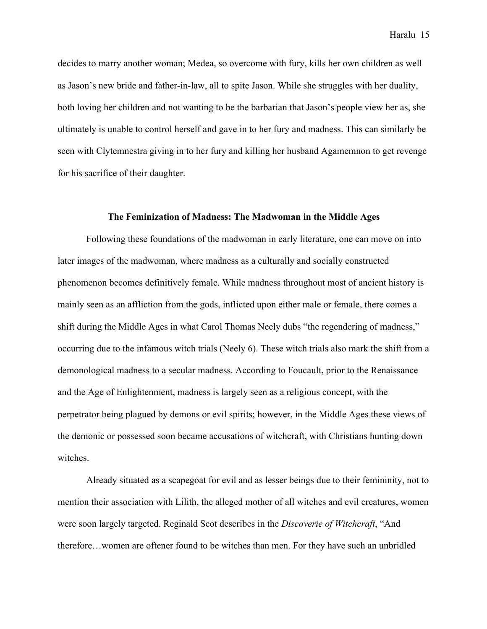decides to marry another woman; Medea, so overcome with fury, kills her own children as well as Jason's new bride and father-in-law, all to spite Jason. While she struggles with her duality, both loving her children and not wanting to be the barbarian that Jason's people view her as, she ultimately is unable to control herself and gave in to her fury and madness. This can similarly be seen with Clytemnestra giving in to her fury and killing her husband Agamemnon to get revenge for his sacrifice of their daughter.

#### **The Feminization of Madness: The Madwoman in the Middle Ages**

Following these foundations of the madwoman in early literature, one can move on into later images of the madwoman, where madness as a culturally and socially constructed phenomenon becomes definitively female. While madness throughout most of ancient history is mainly seen as an affliction from the gods, inflicted upon either male or female, there comes a shift during the Middle Ages in what Carol Thomas Neely dubs "the regendering of madness," occurring due to the infamous witch trials (Neely 6). These witch trials also mark the shift from a demonological madness to a secular madness. According to Foucault, prior to the Renaissance and the Age of Enlightenment, madness is largely seen as a religious concept, with the perpetrator being plagued by demons or evil spirits; however, in the Middle Ages these views of the demonic or possessed soon became accusations of witchcraft, with Christians hunting down witches.

Already situated as a scapegoat for evil and as lesser beings due to their femininity, not to mention their association with Lilith, the alleged mother of all witches and evil creatures, women were soon largely targeted. Reginald Scot describes in the *Discoverie of Witchcraft*, "And therefore…women are oftener found to be witches than men. For they have such an unbridled

Haralu 15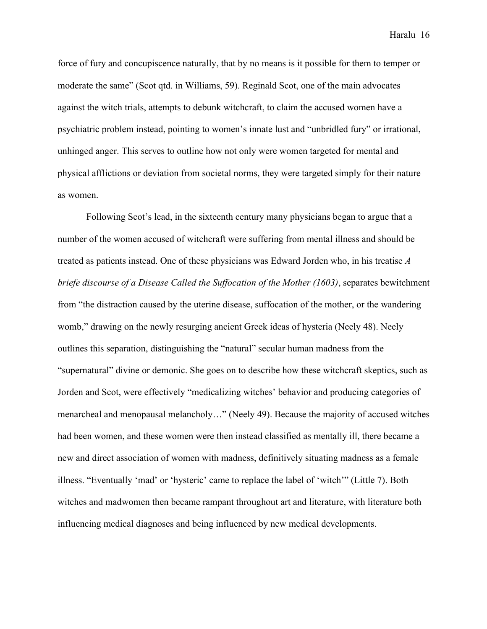force of fury and concupiscence naturally, that by no means is it possible for them to temper or moderate the same" (Scot qtd. in Williams, 59). Reginald Scot, one of the main advocates against the witch trials, attempts to debunk witchcraft, to claim the accused women have a psychiatric problem instead, pointing to women's innate lust and "unbridled fury" or irrational, unhinged anger. This serves to outline how not only were women targeted for mental and physical afflictions or deviation from societal norms, they were targeted simply for their nature as women.

Following Scot's lead, in the sixteenth century many physicians began to argue that a number of the women accused of witchcraft were suffering from mental illness and should be treated as patients instead. One of these physicians was Edward Jorden who, in his treatise *A briefe discourse of a Disease Called the Suffocation of the Mother (1603)*, separates bewitchment from "the distraction caused by the uterine disease, suffocation of the mother, or the wandering womb," drawing on the newly resurging ancient Greek ideas of hysteria (Neely 48). Neely outlines this separation, distinguishing the "natural" secular human madness from the "supernatural" divine or demonic. She goes on to describe how these witchcraft skeptics, such as Jorden and Scot, were effectively "medicalizing witches' behavior and producing categories of menarcheal and menopausal melancholy…" (Neely 49). Because the majority of accused witches had been women, and these women were then instead classified as mentally ill, there became a new and direct association of women with madness, definitively situating madness as a female illness. "Eventually 'mad' or 'hysteric' came to replace the label of 'witch'" (Little 7). Both witches and madwomen then became rampant throughout art and literature, with literature both influencing medical diagnoses and being influenced by new medical developments.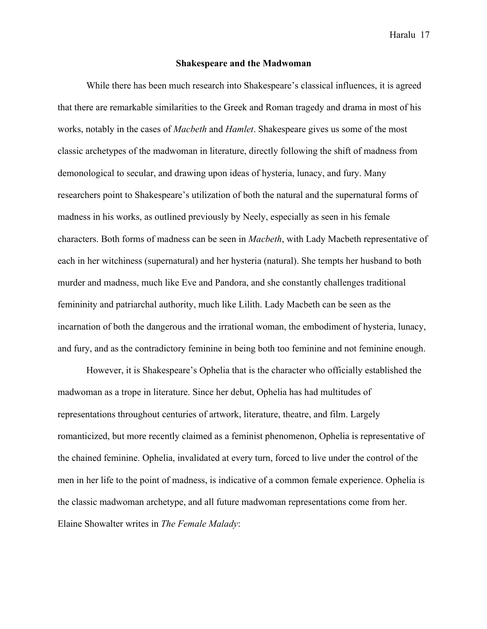# **Shakespeare and the Madwoman**

While there has been much research into Shakespeare's classical influences, it is agreed that there are remarkable similarities to the Greek and Roman tragedy and drama in most of his works, notably in the cases of *Macbeth* and *Hamlet*. Shakespeare gives us some of the most classic archetypes of the madwoman in literature, directly following the shift of madness from demonological to secular, and drawing upon ideas of hysteria, lunacy, and fury. Many researchers point to Shakespeare's utilization of both the natural and the supernatural forms of madness in his works, as outlined previously by Neely, especially as seen in his female characters. Both forms of madness can be seen in *Macbeth*, with Lady Macbeth representative of each in her witchiness (supernatural) and her hysteria (natural). She tempts her husband to both murder and madness, much like Eve and Pandora, and she constantly challenges traditional femininity and patriarchal authority, much like Lilith. Lady Macbeth can be seen as the incarnation of both the dangerous and the irrational woman, the embodiment of hysteria, lunacy, and fury, and as the contradictory feminine in being both too feminine and not feminine enough.

However, it is Shakespeare's Ophelia that is the character who officially established the madwoman as a trope in literature. Since her debut, Ophelia has had multitudes of representations throughout centuries of artwork, literature, theatre, and film. Largely romanticized, but more recently claimed as a feminist phenomenon, Ophelia is representative of the chained feminine. Ophelia, invalidated at every turn, forced to live under the control of the men in her life to the point of madness, is indicative of a common female experience. Ophelia is the classic madwoman archetype, and all future madwoman representations come from her. Elaine Showalter writes in *The Female Malady*: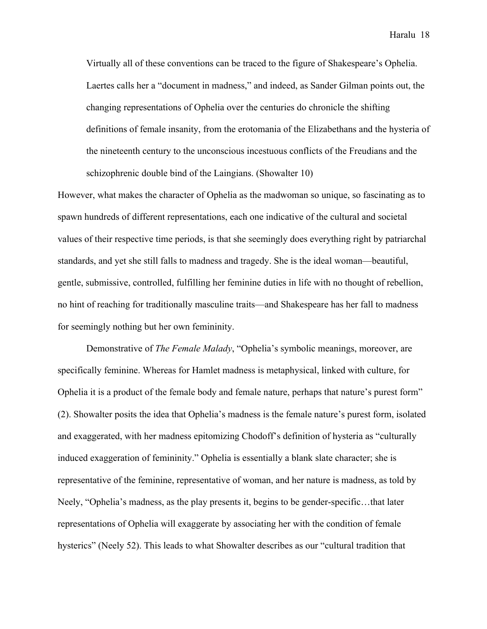Virtually all of these conventions can be traced to the figure of Shakespeare's Ophelia. Laertes calls her a "document in madness," and indeed, as Sander Gilman points out, the changing representations of Ophelia over the centuries do chronicle the shifting definitions of female insanity, from the erotomania of the Elizabethans and the hysteria of the nineteenth century to the unconscious incestuous conflicts of the Freudians and the schizophrenic double bind of the Laingians. (Showalter 10)

However, what makes the character of Ophelia as the madwoman so unique, so fascinating as to spawn hundreds of different representations, each one indicative of the cultural and societal values of their respective time periods, is that she seemingly does everything right by patriarchal standards, and yet she still falls to madness and tragedy. She is the ideal woman—beautiful, gentle, submissive, controlled, fulfilling her feminine duties in life with no thought of rebellion, no hint of reaching for traditionally masculine traits—and Shakespeare has her fall to madness for seemingly nothing but her own femininity.

Demonstrative of *The Female Malady*, "Ophelia's symbolic meanings, moreover, are specifically feminine. Whereas for Hamlet madness is metaphysical, linked with culture, for Ophelia it is a product of the female body and female nature, perhaps that nature's purest form" (2). Showalter posits the idea that Ophelia's madness is the female nature's purest form, isolated and exaggerated, with her madness epitomizing Chodoff's definition of hysteria as "culturally induced exaggeration of femininity." Ophelia is essentially a blank slate character; she is representative of the feminine, representative of woman, and her nature is madness, as told by Neely, "Ophelia's madness, as the play presents it, begins to be gender-specific…that later representations of Ophelia will exaggerate by associating her with the condition of female hysterics" (Neely 52). This leads to what Showalter describes as our "cultural tradition that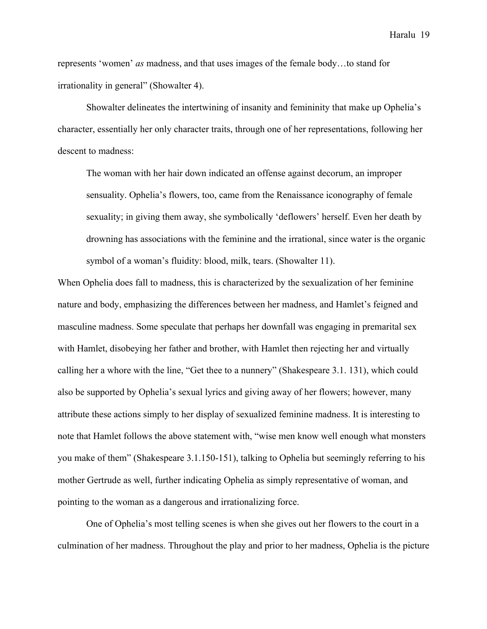represents 'women' *as* madness, and that uses images of the female body…to stand for irrationality in general" (Showalter 4).

Showalter delineates the intertwining of insanity and femininity that make up Ophelia's character, essentially her only character traits, through one of her representations, following her descent to madness:

The woman with her hair down indicated an offense against decorum, an improper sensuality. Ophelia's flowers, too, came from the Renaissance iconography of female sexuality; in giving them away, she symbolically 'deflowers' herself. Even her death by drowning has associations with the feminine and the irrational, since water is the organic symbol of a woman's fluidity: blood, milk, tears. (Showalter 11).

When Ophelia does fall to madness, this is characterized by the sexualization of her feminine nature and body, emphasizing the differences between her madness, and Hamlet's feigned and masculine madness. Some speculate that perhaps her downfall was engaging in premarital sex with Hamlet, disobeying her father and brother, with Hamlet then rejecting her and virtually calling her a whore with the line, "Get thee to a nunnery" (Shakespeare 3.1. 131), which could also be supported by Ophelia's sexual lyrics and giving away of her flowers; however, many attribute these actions simply to her display of sexualized feminine madness. It is interesting to note that Hamlet follows the above statement with, "wise men know well enough what monsters you make of them" (Shakespeare 3.1.150-151), talking to Ophelia but seemingly referring to his mother Gertrude as well, further indicating Ophelia as simply representative of woman, and pointing to the woman as a dangerous and irrationalizing force.

One of Ophelia's most telling scenes is when she gives out her flowers to the court in a culmination of her madness. Throughout the play and prior to her madness, Ophelia is the picture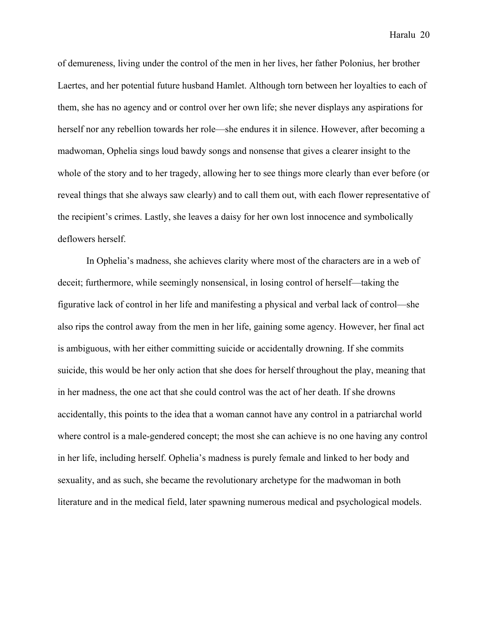of demureness, living under the control of the men in her lives, her father Polonius, her brother Laertes, and her potential future husband Hamlet. Although torn between her loyalties to each of them, she has no agency and or control over her own life; she never displays any aspirations for herself nor any rebellion towards her role—she endures it in silence. However, after becoming a madwoman, Ophelia sings loud bawdy songs and nonsense that gives a clearer insight to the whole of the story and to her tragedy, allowing her to see things more clearly than ever before (or reveal things that she always saw clearly) and to call them out, with each flower representative of the recipient's crimes. Lastly, she leaves a daisy for her own lost innocence and symbolically deflowers herself.

In Ophelia's madness, she achieves clarity where most of the characters are in a web of deceit; furthermore, while seemingly nonsensical, in losing control of herself—taking the figurative lack of control in her life and manifesting a physical and verbal lack of control—she also rips the control away from the men in her life, gaining some agency. However, her final act is ambiguous, with her either committing suicide or accidentally drowning. If she commits suicide, this would be her only action that she does for herself throughout the play, meaning that in her madness, the one act that she could control was the act of her death. If she drowns accidentally, this points to the idea that a woman cannot have any control in a patriarchal world where control is a male-gendered concept; the most she can achieve is no one having any control in her life, including herself. Ophelia's madness is purely female and linked to her body and sexuality, and as such, she became the revolutionary archetype for the madwoman in both literature and in the medical field, later spawning numerous medical and psychological models.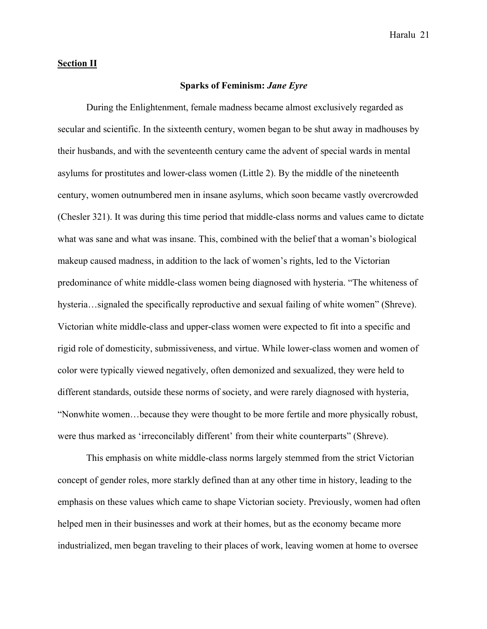# **Section II**

# **Sparks of Feminism:** *Jane Eyre*

During the Enlightenment, female madness became almost exclusively regarded as secular and scientific. In the sixteenth century, women began to be shut away in madhouses by their husbands, and with the seventeenth century came the advent of special wards in mental asylums for prostitutes and lower-class women (Little 2). By the middle of the nineteenth century, women outnumbered men in insane asylums, which soon became vastly overcrowded (Chesler 321). It was during this time period that middle-class norms and values came to dictate what was sane and what was insane. This, combined with the belief that a woman's biological makeup caused madness, in addition to the lack of women's rights, led to the Victorian predominance of white middle-class women being diagnosed with hysteria. "The whiteness of hysteria...signaled the specifically reproductive and sexual failing of white women" (Shreve). Victorian white middle-class and upper-class women were expected to fit into a specific and rigid role of domesticity, submissiveness, and virtue. While lower-class women and women of color were typically viewed negatively, often demonized and sexualized, they were held to different standards, outside these norms of society, and were rarely diagnosed with hysteria, "Nonwhite women…because they were thought to be more fertile and more physically robust, were thus marked as 'irreconcilably different' from their white counterparts" (Shreve).

This emphasis on white middle-class norms largely stemmed from the strict Victorian concept of gender roles, more starkly defined than at any other time in history, leading to the emphasis on these values which came to shape Victorian society. Previously, women had often helped men in their businesses and work at their homes, but as the economy became more industrialized, men began traveling to their places of work, leaving women at home to oversee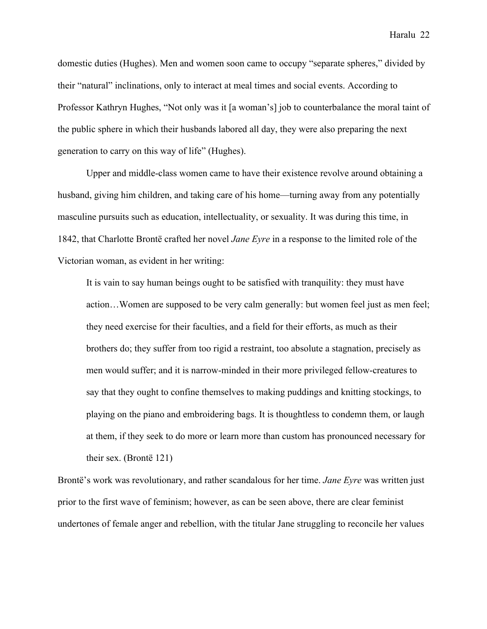domestic duties (Hughes). Men and women soon came to occupy "separate spheres," divided by their "natural" inclinations, only to interact at meal times and social events. According to Professor Kathryn Hughes, "Not only was it [a woman's] job to counterbalance the moral taint of the public sphere in which their husbands labored all day, they were also preparing the next generation to carry on this way of life" (Hughes).

Upper and middle-class women came to have their existence revolve around obtaining a husband, giving him children, and taking care of his home—turning away from any potentially masculine pursuits such as education, intellectuality, or sexuality. It was during this time, in 1842, that Charlotte Brontë crafted her novel *Jane Eyre* in a response to the limited role of the Victorian woman, as evident in her writing:

It is vain to say human beings ought to be satisfied with tranquility: they must have action…Women are supposed to be very calm generally: but women feel just as men feel; they need exercise for their faculties, and a field for their efforts, as much as their brothers do; they suffer from too rigid a restraint, too absolute a stagnation, precisely as men would suffer; and it is narrow-minded in their more privileged fellow-creatures to say that they ought to confine themselves to making puddings and knitting stockings, to playing on the piano and embroidering bags. It is thoughtless to condemn them, or laugh at them, if they seek to do more or learn more than custom has pronounced necessary for their sex. (Brontë 121)

Brontë's work was revolutionary, and rather scandalous for her time. *Jane Eyre* was written just prior to the first wave of feminism; however, as can be seen above, there are clear feminist undertones of female anger and rebellion, with the titular Jane struggling to reconcile her values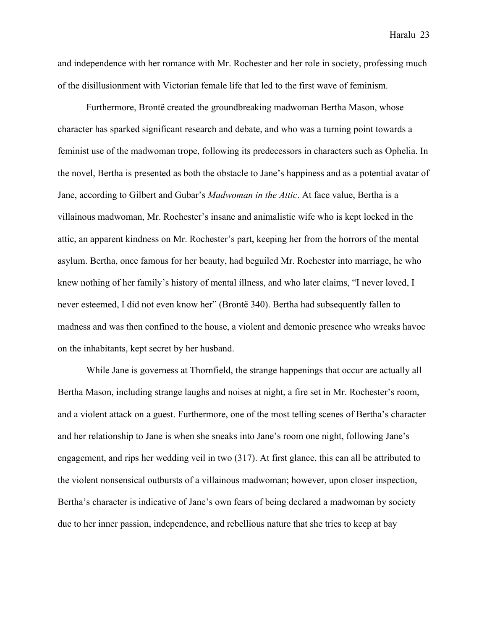and independence with her romance with Mr. Rochester and her role in society, professing much of the disillusionment with Victorian female life that led to the first wave of feminism.

Furthermore, Brontë created the groundbreaking madwoman Bertha Mason, whose character has sparked significant research and debate, and who was a turning point towards a feminist use of the madwoman trope, following its predecessors in characters such as Ophelia. In the novel, Bertha is presented as both the obstacle to Jane's happiness and as a potential avatar of Jane, according to Gilbert and Gubar's *Madwoman in the Attic*. At face value, Bertha is a villainous madwoman, Mr. Rochester's insane and animalistic wife who is kept locked in the attic, an apparent kindness on Mr. Rochester's part, keeping her from the horrors of the mental asylum. Bertha, once famous for her beauty, had beguiled Mr. Rochester into marriage, he who knew nothing of her family's history of mental illness, and who later claims, "I never loved, I never esteemed, I did not even know her" (Brontë 340). Bertha had subsequently fallen to madness and was then confined to the house, a violent and demonic presence who wreaks havoc on the inhabitants, kept secret by her husband.

While Jane is governess at Thornfield, the strange happenings that occur are actually all Bertha Mason, including strange laughs and noises at night, a fire set in Mr. Rochester's room, and a violent attack on a guest. Furthermore, one of the most telling scenes of Bertha's character and her relationship to Jane is when she sneaks into Jane's room one night, following Jane's engagement, and rips her wedding veil in two (317). At first glance, this can all be attributed to the violent nonsensical outbursts of a villainous madwoman; however, upon closer inspection, Bertha's character is indicative of Jane's own fears of being declared a madwoman by society due to her inner passion, independence, and rebellious nature that she tries to keep at bay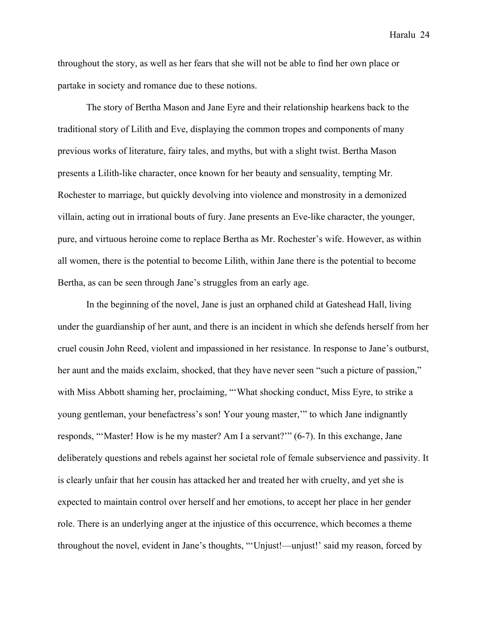throughout the story, as well as her fears that she will not be able to find her own place or partake in society and romance due to these notions.

The story of Bertha Mason and Jane Eyre and their relationship hearkens back to the traditional story of Lilith and Eve, displaying the common tropes and components of many previous works of literature, fairy tales, and myths, but with a slight twist. Bertha Mason presents a Lilith-like character, once known for her beauty and sensuality, tempting Mr. Rochester to marriage, but quickly devolving into violence and monstrosity in a demonized villain, acting out in irrational bouts of fury. Jane presents an Eve-like character, the younger, pure, and virtuous heroine come to replace Bertha as Mr. Rochester's wife. However, as within all women, there is the potential to become Lilith, within Jane there is the potential to become Bertha, as can be seen through Jane's struggles from an early age.

In the beginning of the novel, Jane is just an orphaned child at Gateshead Hall, living under the guardianship of her aunt, and there is an incident in which she defends herself from her cruel cousin John Reed, violent and impassioned in her resistance. In response to Jane's outburst, her aunt and the maids exclaim, shocked, that they have never seen "such a picture of passion," with Miss Abbott shaming her, proclaiming, "'What shocking conduct, Miss Eyre, to strike a young gentleman, your benefactress's son! Your young master,'" to which Jane indignantly responds, "'Master! How is he my master? Am I a servant?'" (6-7). In this exchange, Jane deliberately questions and rebels against her societal role of female subservience and passivity. It is clearly unfair that her cousin has attacked her and treated her with cruelty, and yet she is expected to maintain control over herself and her emotions, to accept her place in her gender role. There is an underlying anger at the injustice of this occurrence, which becomes a theme throughout the novel, evident in Jane's thoughts, "'Unjust!—unjust!' said my reason, forced by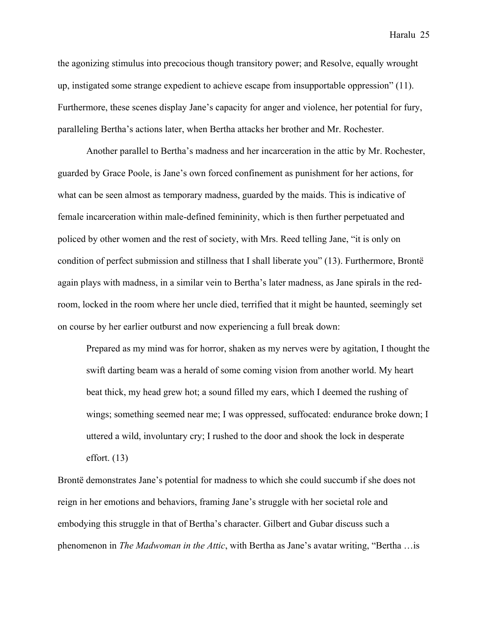the agonizing stimulus into precocious though transitory power; and Resolve, equally wrought up, instigated some strange expedient to achieve escape from insupportable oppression" (11). Furthermore, these scenes display Jane's capacity for anger and violence, her potential for fury, paralleling Bertha's actions later, when Bertha attacks her brother and Mr. Rochester.

Another parallel to Bertha's madness and her incarceration in the attic by Mr. Rochester, guarded by Grace Poole, is Jane's own forced confinement as punishment for her actions, for what can be seen almost as temporary madness, guarded by the maids. This is indicative of female incarceration within male-defined femininity, which is then further perpetuated and policed by other women and the rest of society, with Mrs. Reed telling Jane, "it is only on condition of perfect submission and stillness that I shall liberate you" (13). Furthermore, Brontë again plays with madness, in a similar vein to Bertha's later madness, as Jane spirals in the redroom, locked in the room where her uncle died, terrified that it might be haunted, seemingly set on course by her earlier outburst and now experiencing a full break down:

Prepared as my mind was for horror, shaken as my nerves were by agitation, I thought the swift darting beam was a herald of some coming vision from another world. My heart beat thick, my head grew hot; a sound filled my ears, which I deemed the rushing of wings; something seemed near me; I was oppressed, suffocated: endurance broke down; I uttered a wild, involuntary cry; I rushed to the door and shook the lock in desperate effort. (13)

Brontë demonstrates Jane's potential for madness to which she could succumb if she does not reign in her emotions and behaviors, framing Jane's struggle with her societal role and embodying this struggle in that of Bertha's character. Gilbert and Gubar discuss such a phenomenon in *The Madwoman in the Attic*, with Bertha as Jane's avatar writing, "Bertha …is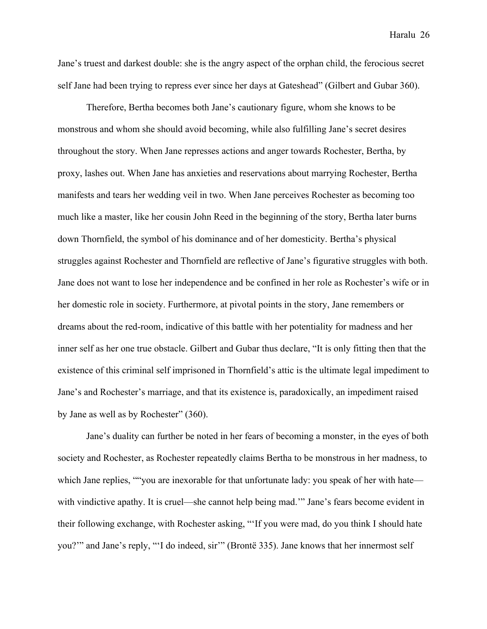Jane's truest and darkest double: she is the angry aspect of the orphan child, the ferocious secret self Jane had been trying to repress ever since her days at Gateshead" (Gilbert and Gubar 360).

Therefore, Bertha becomes both Jane's cautionary figure, whom she knows to be monstrous and whom she should avoid becoming, while also fulfilling Jane's secret desires throughout the story. When Jane represses actions and anger towards Rochester, Bertha, by proxy, lashes out. When Jane has anxieties and reservations about marrying Rochester, Bertha manifests and tears her wedding veil in two. When Jane perceives Rochester as becoming too much like a master, like her cousin John Reed in the beginning of the story, Bertha later burns down Thornfield, the symbol of his dominance and of her domesticity. Bertha's physical struggles against Rochester and Thornfield are reflective of Jane's figurative struggles with both. Jane does not want to lose her independence and be confined in her role as Rochester's wife or in her domestic role in society. Furthermore, at pivotal points in the story, Jane remembers or dreams about the red-room, indicative of this battle with her potentiality for madness and her inner self as her one true obstacle. Gilbert and Gubar thus declare, "It is only fitting then that the existence of this criminal self imprisoned in Thornfield's attic is the ultimate legal impediment to Jane's and Rochester's marriage, and that its existence is, paradoxically, an impediment raised by Jane as well as by Rochester" (360).

Jane's duality can further be noted in her fears of becoming a monster, in the eyes of both society and Rochester, as Rochester repeatedly claims Bertha to be monstrous in her madness, to which Jane replies, ""you are inexorable for that unfortunate lady: you speak of her with hate with vindictive apathy. It is cruel—she cannot help being mad." Jane's fears become evident in their following exchange, with Rochester asking, "'If you were mad, do you think I should hate you?'" and Jane's reply, "'I do indeed, sir'" (Brontë 335). Jane knows that her innermost self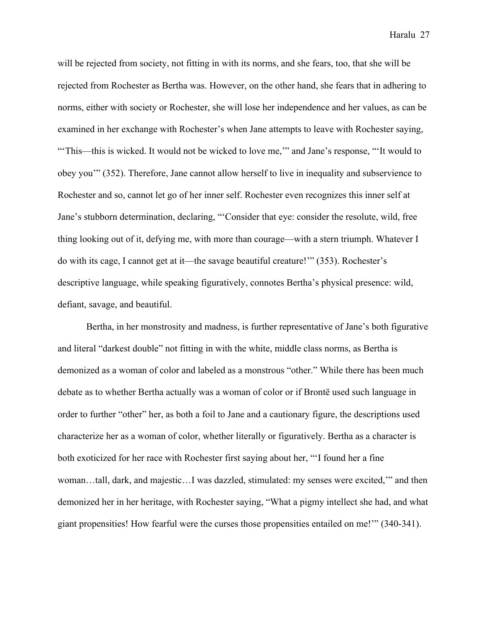will be rejected from society, not fitting in with its norms, and she fears, too, that she will be rejected from Rochester as Bertha was. However, on the other hand, she fears that in adhering to norms, either with society or Rochester, she will lose her independence and her values, as can be examined in her exchange with Rochester's when Jane attempts to leave with Rochester saying, "'This—this is wicked. It would not be wicked to love me,'" and Jane's response, "'It would to obey you'" (352). Therefore, Jane cannot allow herself to live in inequality and subservience to Rochester and so, cannot let go of her inner self. Rochester even recognizes this inner self at Jane's stubborn determination, declaring, "'Consider that eye: consider the resolute, wild, free thing looking out of it, defying me, with more than courage—with a stern triumph. Whatever I do with its cage, I cannot get at it—the savage beautiful creature!'" (353). Rochester's descriptive language, while speaking figuratively, connotes Bertha's physical presence: wild, defiant, savage, and beautiful.

Bertha, in her monstrosity and madness, is further representative of Jane's both figurative and literal "darkest double" not fitting in with the white, middle class norms, as Bertha is demonized as a woman of color and labeled as a monstrous "other." While there has been much debate as to whether Bertha actually was a woman of color or if Brontë used such language in order to further "other" her, as both a foil to Jane and a cautionary figure, the descriptions used characterize her as a woman of color, whether literally or figuratively. Bertha as a character is both exoticized for her race with Rochester first saying about her, "'I found her a fine woman…tall, dark, and majestic…I was dazzled, stimulated: my senses were excited,'" and then demonized her in her heritage, with Rochester saying, "What a pigmy intellect she had, and what giant propensities! How fearful were the curses those propensities entailed on me!'" (340-341).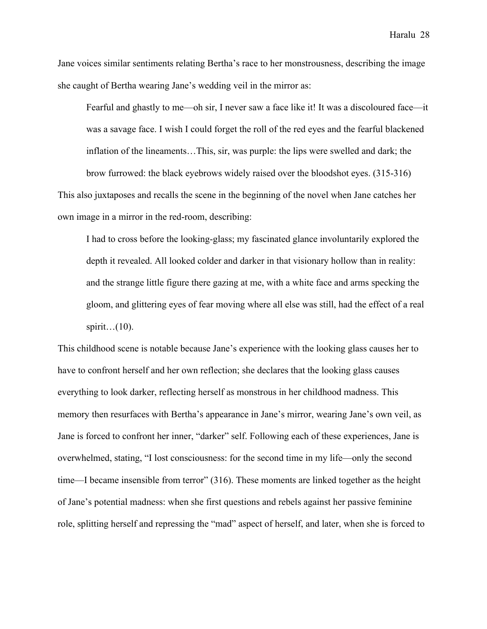Jane voices similar sentiments relating Bertha's race to her monstrousness, describing the image she caught of Bertha wearing Jane's wedding veil in the mirror as:

Fearful and ghastly to me—oh sir, I never saw a face like it! It was a discoloured face—it was a savage face. I wish I could forget the roll of the red eyes and the fearful blackened inflation of the lineaments…This, sir, was purple: the lips were swelled and dark; the brow furrowed: the black eyebrows widely raised over the bloodshot eyes. (315-316)

This also juxtaposes and recalls the scene in the beginning of the novel when Jane catches her own image in a mirror in the red-room, describing:

I had to cross before the looking-glass; my fascinated glance involuntarily explored the depth it revealed. All looked colder and darker in that visionary hollow than in reality: and the strange little figure there gazing at me, with a white face and arms specking the gloom, and glittering eyes of fear moving where all else was still, had the effect of a real spirit… $(10)$ .

This childhood scene is notable because Jane's experience with the looking glass causes her to have to confront herself and her own reflection; she declares that the looking glass causes everything to look darker, reflecting herself as monstrous in her childhood madness. This memory then resurfaces with Bertha's appearance in Jane's mirror, wearing Jane's own veil, as Jane is forced to confront her inner, "darker" self. Following each of these experiences, Jane is overwhelmed, stating, "I lost consciousness: for the second time in my life—only the second time—I became insensible from terror" (316). These moments are linked together as the height of Jane's potential madness: when she first questions and rebels against her passive feminine role, splitting herself and repressing the "mad" aspect of herself, and later, when she is forced to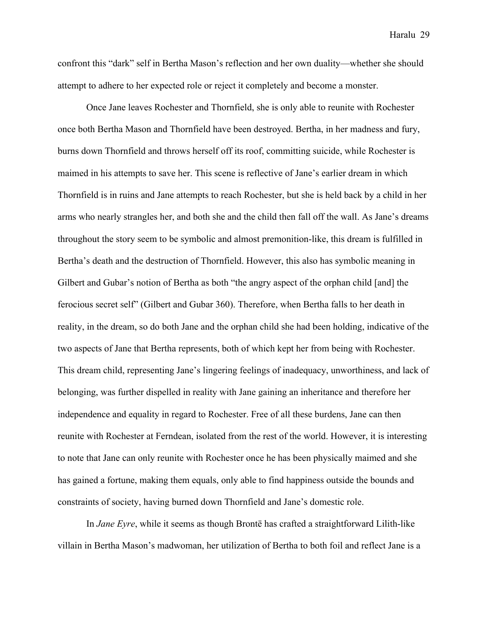confront this "dark" self in Bertha Mason's reflection and her own duality—whether she should attempt to adhere to her expected role or reject it completely and become a monster.

Once Jane leaves Rochester and Thornfield, she is only able to reunite with Rochester once both Bertha Mason and Thornfield have been destroyed. Bertha, in her madness and fury, burns down Thornfield and throws herself off its roof, committing suicide, while Rochester is maimed in his attempts to save her. This scene is reflective of Jane's earlier dream in which Thornfield is in ruins and Jane attempts to reach Rochester, but she is held back by a child in her arms who nearly strangles her, and both she and the child then fall off the wall. As Jane's dreams throughout the story seem to be symbolic and almost premonition-like, this dream is fulfilled in Bertha's death and the destruction of Thornfield. However, this also has symbolic meaning in Gilbert and Gubar's notion of Bertha as both "the angry aspect of the orphan child [and] the ferocious secret self" (Gilbert and Gubar 360). Therefore, when Bertha falls to her death in reality, in the dream, so do both Jane and the orphan child she had been holding, indicative of the two aspects of Jane that Bertha represents, both of which kept her from being with Rochester. This dream child, representing Jane's lingering feelings of inadequacy, unworthiness, and lack of belonging, was further dispelled in reality with Jane gaining an inheritance and therefore her independence and equality in regard to Rochester. Free of all these burdens, Jane can then reunite with Rochester at Ferndean, isolated from the rest of the world. However, it is interesting to note that Jane can only reunite with Rochester once he has been physically maimed and she has gained a fortune, making them equals, only able to find happiness outside the bounds and constraints of society, having burned down Thornfield and Jane's domestic role.

In *Jane Eyre*, while it seems as though Brontë has crafted a straightforward Lilith-like villain in Bertha Mason's madwoman, her utilization of Bertha to both foil and reflect Jane is a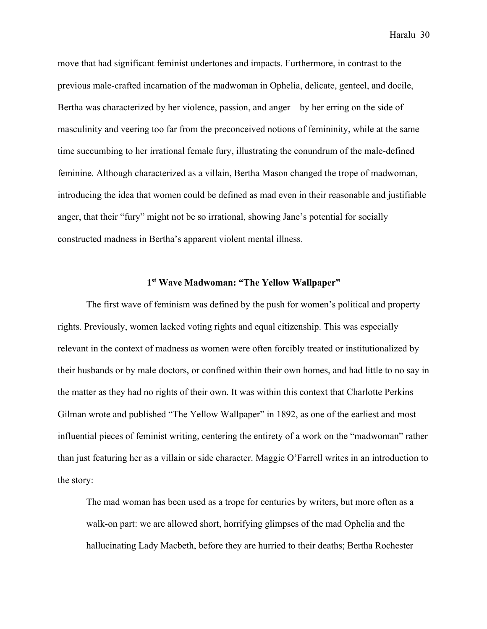move that had significant feminist undertones and impacts. Furthermore, in contrast to the previous male-crafted incarnation of the madwoman in Ophelia, delicate, genteel, and docile, Bertha was characterized by her violence, passion, and anger—by her erring on the side of masculinity and veering too far from the preconceived notions of femininity, while at the same time succumbing to her irrational female fury, illustrating the conundrum of the male-defined feminine. Although characterized as a villain, Bertha Mason changed the trope of madwoman, introducing the idea that women could be defined as mad even in their reasonable and justifiable anger, that their "fury" might not be so irrational, showing Jane's potential for socially constructed madness in Bertha's apparent violent mental illness.

# **1st Wave Madwoman: "The Yellow Wallpaper"**

The first wave of feminism was defined by the push for women's political and property rights. Previously, women lacked voting rights and equal citizenship. This was especially relevant in the context of madness as women were often forcibly treated or institutionalized by their husbands or by male doctors, or confined within their own homes, and had little to no say in the matter as they had no rights of their own. It was within this context that Charlotte Perkins Gilman wrote and published "The Yellow Wallpaper" in 1892, as one of the earliest and most influential pieces of feminist writing, centering the entirety of a work on the "madwoman" rather than just featuring her as a villain or side character. Maggie O'Farrell writes in an introduction to the story:

The mad woman has been used as a trope for centuries by writers, but more often as a walk-on part: we are allowed short, horrifying glimpses of the mad Ophelia and the hallucinating Lady Macbeth, before they are hurried to their deaths; Bertha Rochester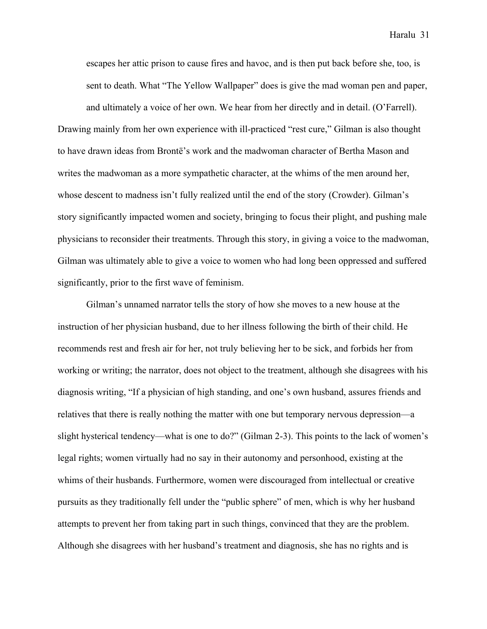escapes her attic prison to cause fires and havoc, and is then put back before she, too, is sent to death. What "The Yellow Wallpaper" does is give the mad woman pen and paper,

and ultimately a voice of her own. We hear from her directly and in detail. (O'Farrell). Drawing mainly from her own experience with ill-practiced "rest cure," Gilman is also thought to have drawn ideas from Brontë's work and the madwoman character of Bertha Mason and writes the madwoman as a more sympathetic character, at the whims of the men around her, whose descent to madness isn't fully realized until the end of the story (Crowder). Gilman's story significantly impacted women and society, bringing to focus their plight, and pushing male physicians to reconsider their treatments. Through this story, in giving a voice to the madwoman, Gilman was ultimately able to give a voice to women who had long been oppressed and suffered significantly, prior to the first wave of feminism.

Gilman's unnamed narrator tells the story of how she moves to a new house at the instruction of her physician husband, due to her illness following the birth of their child. He recommends rest and fresh air for her, not truly believing her to be sick, and forbids her from working or writing; the narrator, does not object to the treatment, although she disagrees with his diagnosis writing, "If a physician of high standing, and one's own husband, assures friends and relatives that there is really nothing the matter with one but temporary nervous depression—a slight hysterical tendency—what is one to do?" (Gilman 2-3). This points to the lack of women's legal rights; women virtually had no say in their autonomy and personhood, existing at the whims of their husbands. Furthermore, women were discouraged from intellectual or creative pursuits as they traditionally fell under the "public sphere" of men, which is why her husband attempts to prevent her from taking part in such things, convinced that they are the problem. Although she disagrees with her husband's treatment and diagnosis, she has no rights and is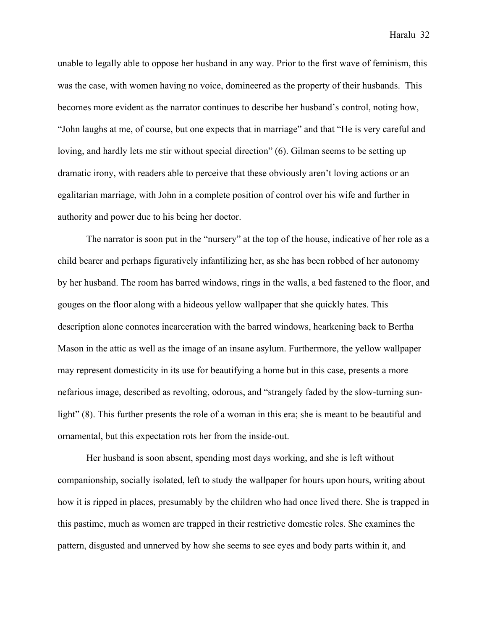unable to legally able to oppose her husband in any way. Prior to the first wave of feminism, this was the case, with women having no voice, domineered as the property of their husbands. This becomes more evident as the narrator continues to describe her husband's control, noting how, "John laughs at me, of course, but one expects that in marriage" and that "He is very careful and loving, and hardly lets me stir without special direction" (6). Gilman seems to be setting up dramatic irony, with readers able to perceive that these obviously aren't loving actions or an egalitarian marriage, with John in a complete position of control over his wife and further in authority and power due to his being her doctor.

The narrator is soon put in the "nursery" at the top of the house, indicative of her role as a child bearer and perhaps figuratively infantilizing her, as she has been robbed of her autonomy by her husband. The room has barred windows, rings in the walls, a bed fastened to the floor, and gouges on the floor along with a hideous yellow wallpaper that she quickly hates. This description alone connotes incarceration with the barred windows, hearkening back to Bertha Mason in the attic as well as the image of an insane asylum. Furthermore, the yellow wallpaper may represent domesticity in its use for beautifying a home but in this case, presents a more nefarious image, described as revolting, odorous, and "strangely faded by the slow-turning sunlight" (8). This further presents the role of a woman in this era; she is meant to be beautiful and ornamental, but this expectation rots her from the inside-out.

Her husband is soon absent, spending most days working, and she is left without companionship, socially isolated, left to study the wallpaper for hours upon hours, writing about how it is ripped in places, presumably by the children who had once lived there. She is trapped in this pastime, much as women are trapped in their restrictive domestic roles. She examines the pattern, disgusted and unnerved by how she seems to see eyes and body parts within it, and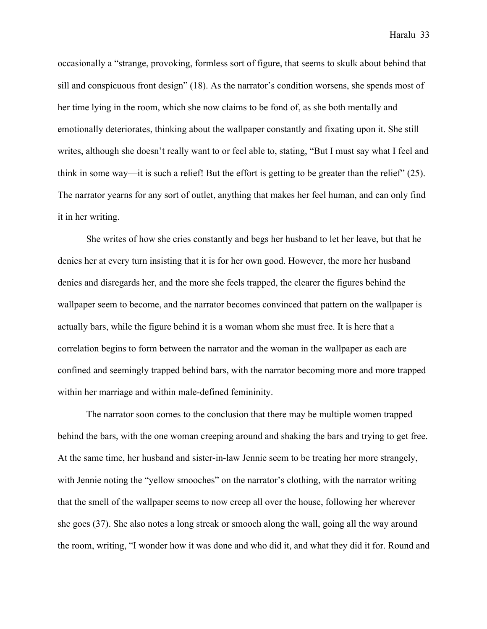occasionally a "strange, provoking, formless sort of figure, that seems to skulk about behind that sill and conspicuous front design" (18). As the narrator's condition worsens, she spends most of her time lying in the room, which she now claims to be fond of, as she both mentally and emotionally deteriorates, thinking about the wallpaper constantly and fixating upon it. She still writes, although she doesn't really want to or feel able to, stating, "But I must say what I feel and think in some way—it is such a relief! But the effort is getting to be greater than the relief"  $(25)$ . The narrator yearns for any sort of outlet, anything that makes her feel human, and can only find it in her writing.

She writes of how she cries constantly and begs her husband to let her leave, but that he denies her at every turn insisting that it is for her own good. However, the more her husband denies and disregards her, and the more she feels trapped, the clearer the figures behind the wallpaper seem to become, and the narrator becomes convinced that pattern on the wallpaper is actually bars, while the figure behind it is a woman whom she must free. It is here that a correlation begins to form between the narrator and the woman in the wallpaper as each are confined and seemingly trapped behind bars, with the narrator becoming more and more trapped within her marriage and within male-defined femininity.

The narrator soon comes to the conclusion that there may be multiple women trapped behind the bars, with the one woman creeping around and shaking the bars and trying to get free. At the same time, her husband and sister-in-law Jennie seem to be treating her more strangely, with Jennie noting the "yellow smooches" on the narrator's clothing, with the narrator writing that the smell of the wallpaper seems to now creep all over the house, following her wherever she goes (37). She also notes a long streak or smooch along the wall, going all the way around the room, writing, "I wonder how it was done and who did it, and what they did it for. Round and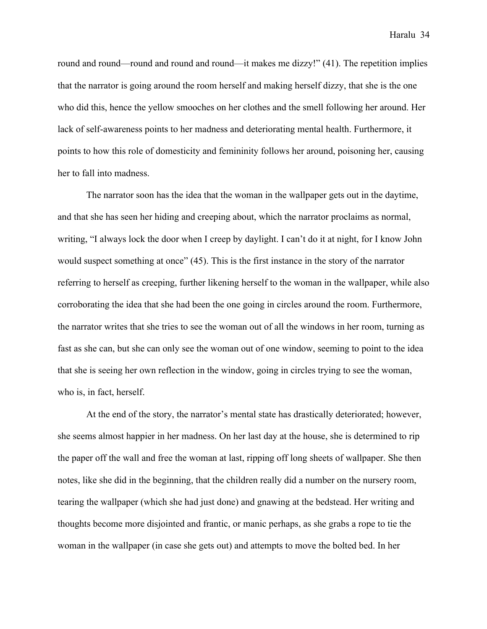round and round—round and round and round—it makes me dizzy!" (41). The repetition implies that the narrator is going around the room herself and making herself dizzy, that she is the one who did this, hence the yellow smooches on her clothes and the smell following her around. Her lack of self-awareness points to her madness and deteriorating mental health. Furthermore, it points to how this role of domesticity and femininity follows her around, poisoning her, causing her to fall into madness.

The narrator soon has the idea that the woman in the wallpaper gets out in the daytime, and that she has seen her hiding and creeping about, which the narrator proclaims as normal, writing, "I always lock the door when I creep by daylight. I can't do it at night, for I know John would suspect something at once" (45). This is the first instance in the story of the narrator referring to herself as creeping, further likening herself to the woman in the wallpaper, while also corroborating the idea that she had been the one going in circles around the room. Furthermore, the narrator writes that she tries to see the woman out of all the windows in her room, turning as fast as she can, but she can only see the woman out of one window, seeming to point to the idea that she is seeing her own reflection in the window, going in circles trying to see the woman, who is, in fact, herself.

At the end of the story, the narrator's mental state has drastically deteriorated; however, she seems almost happier in her madness. On her last day at the house, she is determined to rip the paper off the wall and free the woman at last, ripping off long sheets of wallpaper. She then notes, like she did in the beginning, that the children really did a number on the nursery room, tearing the wallpaper (which she had just done) and gnawing at the bedstead. Her writing and thoughts become more disjointed and frantic, or manic perhaps, as she grabs a rope to tie the woman in the wallpaper (in case she gets out) and attempts to move the bolted bed. In her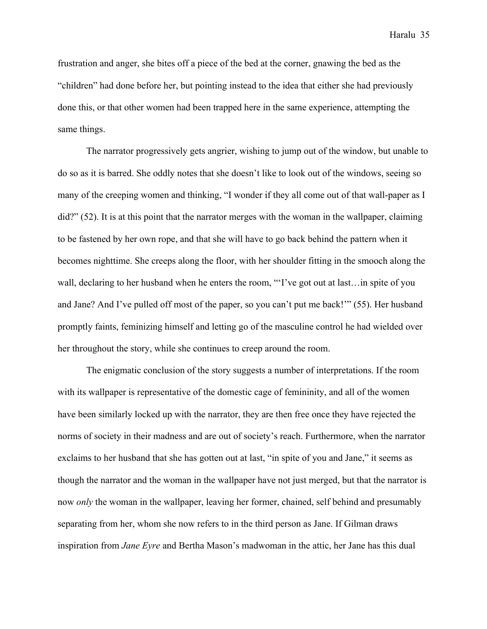frustration and anger, she bites off a piece of the bed at the corner, gnawing the bed as the "children" had done before her, but pointing instead to the idea that either she had previously done this, or that other women had been trapped here in the same experience, attempting the same things.

The narrator progressively gets angrier, wishing to jump out of the window, but unable to do so as it is barred. She oddly notes that she doesn't like to look out of the windows, seeing so many of the creeping women and thinking, "I wonder if they all come out of that wall-paper as I did?" (52). It is at this point that the narrator merges with the woman in the wallpaper, claiming to be fastened by her own rope, and that she will have to go back behind the pattern when it becomes nighttime. She creeps along the floor, with her shoulder fitting in the smooch along the wall, declaring to her husband when he enters the room, "'I've got out at last…in spite of you and Jane? And I've pulled off most of the paper, so you can't put me back!'" (55). Her husband promptly faints, feminizing himself and letting go of the masculine control he had wielded over her throughout the story, while she continues to creep around the room.

The enigmatic conclusion of the story suggests a number of interpretations. If the room with its wallpaper is representative of the domestic cage of femininity, and all of the women have been similarly locked up with the narrator, they are then free once they have rejected the norms of society in their madness and are out of society's reach. Furthermore, when the narrator exclaims to her husband that she has gotten out at last, "in spite of you and Jane," it seems as though the narrator and the woman in the wallpaper have not just merged, but that the narrator is now *only* the woman in the wallpaper, leaving her former, chained, self behind and presumably separating from her, whom she now refers to in the third person as Jane. If Gilman draws inspiration from *Jane Eyre* and Bertha Mason's madwoman in the attic, her Jane has this dual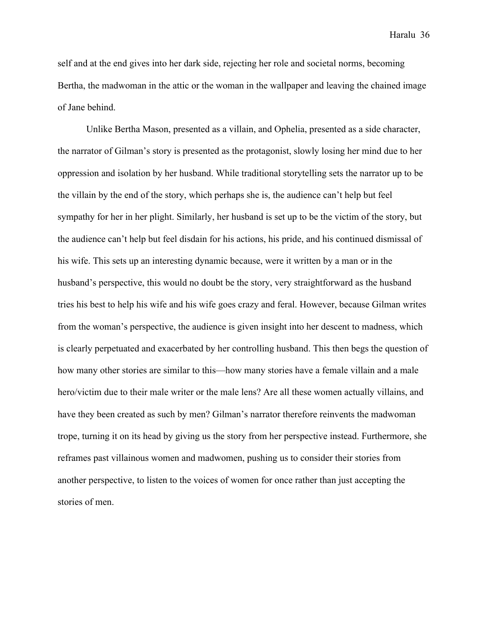self and at the end gives into her dark side, rejecting her role and societal norms, becoming Bertha, the madwoman in the attic or the woman in the wallpaper and leaving the chained image of Jane behind.

Unlike Bertha Mason, presented as a villain, and Ophelia, presented as a side character, the narrator of Gilman's story is presented as the protagonist, slowly losing her mind due to her oppression and isolation by her husband. While traditional storytelling sets the narrator up to be the villain by the end of the story, which perhaps she is, the audience can't help but feel sympathy for her in her plight. Similarly, her husband is set up to be the victim of the story, but the audience can't help but feel disdain for his actions, his pride, and his continued dismissal of his wife. This sets up an interesting dynamic because, were it written by a man or in the husband's perspective, this would no doubt be the story, very straightforward as the husband tries his best to help his wife and his wife goes crazy and feral. However, because Gilman writes from the woman's perspective, the audience is given insight into her descent to madness, which is clearly perpetuated and exacerbated by her controlling husband. This then begs the question of how many other stories are similar to this—how many stories have a female villain and a male hero/victim due to their male writer or the male lens? Are all these women actually villains, and have they been created as such by men? Gilman's narrator therefore reinvents the madwoman trope, turning it on its head by giving us the story from her perspective instead. Furthermore, she reframes past villainous women and madwomen, pushing us to consider their stories from another perspective, to listen to the voices of women for once rather than just accepting the stories of men.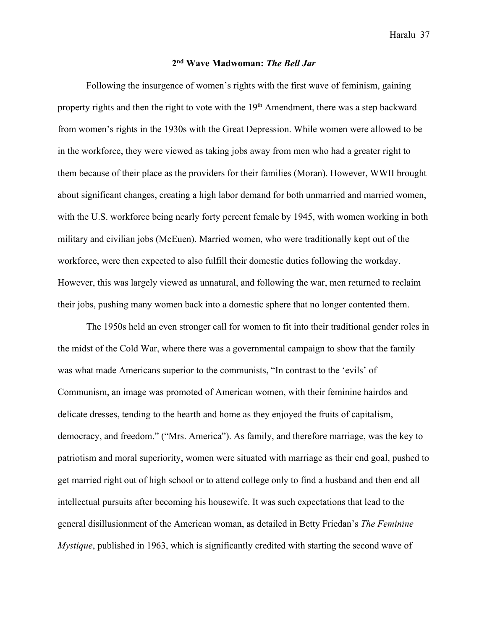## **2nd Wave Madwoman:** *The Bell Jar*

Following the insurgence of women's rights with the first wave of feminism, gaining property rights and then the right to vote with the 19<sup>th</sup> Amendment, there was a step backward from women's rights in the 1930s with the Great Depression. While women were allowed to be in the workforce, they were viewed as taking jobs away from men who had a greater right to them because of their place as the providers for their families (Moran). However, WWII brought about significant changes, creating a high labor demand for both unmarried and married women, with the U.S. workforce being nearly forty percent female by 1945, with women working in both military and civilian jobs (McEuen). Married women, who were traditionally kept out of the workforce, were then expected to also fulfill their domestic duties following the workday. However, this was largely viewed as unnatural, and following the war, men returned to reclaim their jobs, pushing many women back into a domestic sphere that no longer contented them.

The 1950s held an even stronger call for women to fit into their traditional gender roles in the midst of the Cold War, where there was a governmental campaign to show that the family was what made Americans superior to the communists, "In contrast to the 'evils' of Communism, an image was promoted of American women, with their feminine hairdos and delicate dresses, tending to the hearth and home as they enjoyed the fruits of capitalism, democracy, and freedom." ("Mrs. America"). As family, and therefore marriage, was the key to patriotism and moral superiority, women were situated with marriage as their end goal, pushed to get married right out of high school or to attend college only to find a husband and then end all intellectual pursuits after becoming his housewife. It was such expectations that lead to the general disillusionment of the American woman, as detailed in Betty Friedan's *The Feminine Mystique*, published in 1963, which is significantly credited with starting the second wave of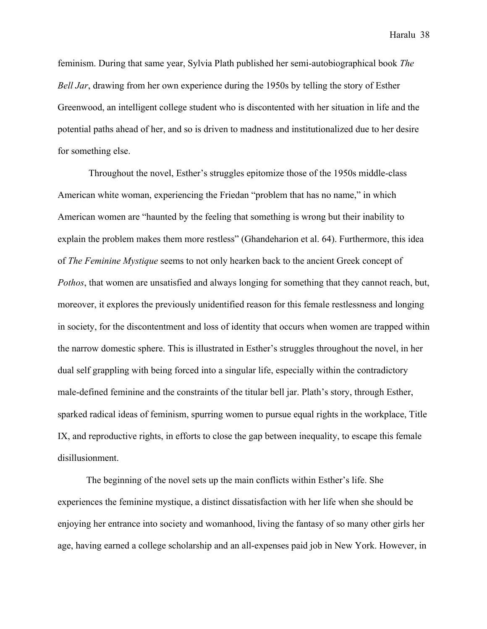feminism. During that same year, Sylvia Plath published her semi-autobiographical book *The Bell Jar*, drawing from her own experience during the 1950s by telling the story of Esther Greenwood, an intelligent college student who is discontented with her situation in life and the potential paths ahead of her, and so is driven to madness and institutionalized due to her desire for something else.

Throughout the novel, Esther's struggles epitomize those of the 1950s middle-class American white woman, experiencing the Friedan "problem that has no name," in which American women are "haunted by the feeling that something is wrong but their inability to explain the problem makes them more restless" (Ghandeharion et al. 64). Furthermore, this idea of *The Feminine Mystique* seems to not only hearken back to the ancient Greek concept of *Pothos*, that women are unsatisfied and always longing for something that they cannot reach, but, moreover, it explores the previously unidentified reason for this female restlessness and longing in society, for the discontentment and loss of identity that occurs when women are trapped within the narrow domestic sphere. This is illustrated in Esther's struggles throughout the novel, in her dual self grappling with being forced into a singular life, especially within the contradictory male-defined feminine and the constraints of the titular bell jar. Plath's story, through Esther, sparked radical ideas of feminism, spurring women to pursue equal rights in the workplace, Title IX, and reproductive rights, in efforts to close the gap between inequality, to escape this female disillusionment.

The beginning of the novel sets up the main conflicts within Esther's life. She experiences the feminine mystique, a distinct dissatisfaction with her life when she should be enjoying her entrance into society and womanhood, living the fantasy of so many other girls her age, having earned a college scholarship and an all-expenses paid job in New York. However, in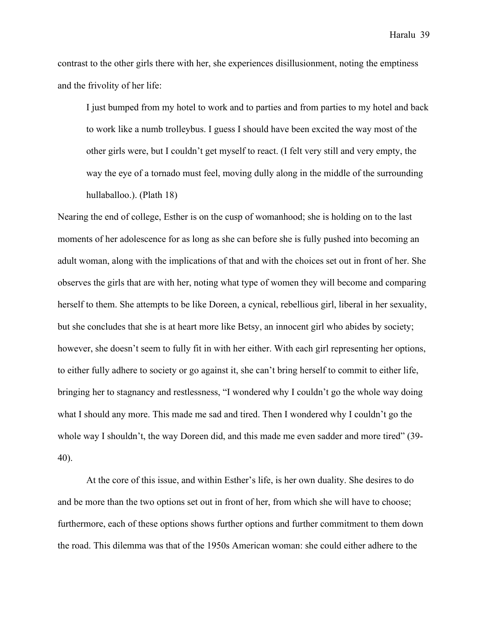contrast to the other girls there with her, she experiences disillusionment, noting the emptiness and the frivolity of her life:

I just bumped from my hotel to work and to parties and from parties to my hotel and back to work like a numb trolleybus. I guess I should have been excited the way most of the other girls were, but I couldn't get myself to react. (I felt very still and very empty, the way the eye of a tornado must feel, moving dully along in the middle of the surrounding hullaballoo.). (Plath 18)

Nearing the end of college, Esther is on the cusp of womanhood; she is holding on to the last moments of her adolescence for as long as she can before she is fully pushed into becoming an adult woman, along with the implications of that and with the choices set out in front of her. She observes the girls that are with her, noting what type of women they will become and comparing herself to them. She attempts to be like Doreen, a cynical, rebellious girl, liberal in her sexuality, but she concludes that she is at heart more like Betsy, an innocent girl who abides by society; however, she doesn't seem to fully fit in with her either. With each girl representing her options, to either fully adhere to society or go against it, she can't bring herself to commit to either life, bringing her to stagnancy and restlessness, "I wondered why I couldn't go the whole way doing what I should any more. This made me sad and tired. Then I wondered why I couldn't go the whole way I shouldn't, the way Doreen did, and this made me even sadder and more tired" (39- 40).

At the core of this issue, and within Esther's life, is her own duality. She desires to do and be more than the two options set out in front of her, from which she will have to choose; furthermore, each of these options shows further options and further commitment to them down the road. This dilemma was that of the 1950s American woman: she could either adhere to the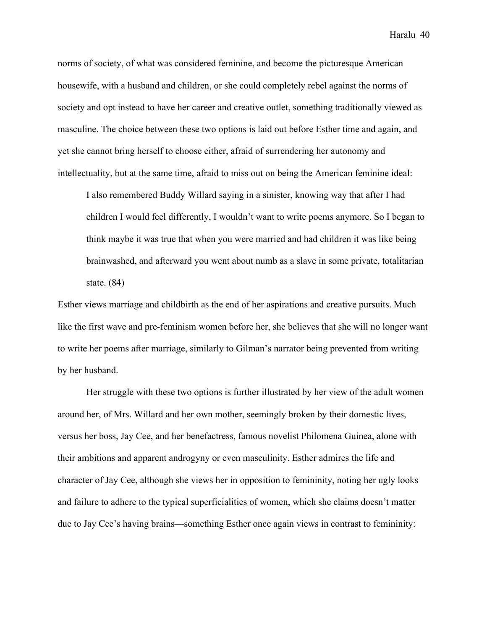norms of society, of what was considered feminine, and become the picturesque American housewife, with a husband and children, or she could completely rebel against the norms of society and opt instead to have her career and creative outlet, something traditionally viewed as masculine. The choice between these two options is laid out before Esther time and again, and yet she cannot bring herself to choose either, afraid of surrendering her autonomy and intellectuality, but at the same time, afraid to miss out on being the American feminine ideal:

I also remembered Buddy Willard saying in a sinister, knowing way that after I had children I would feel differently, I wouldn't want to write poems anymore. So I began to think maybe it was true that when you were married and had children it was like being brainwashed, and afterward you went about numb as a slave in some private, totalitarian state. (84)

Esther views marriage and childbirth as the end of her aspirations and creative pursuits. Much like the first wave and pre-feminism women before her, she believes that she will no longer want to write her poems after marriage, similarly to Gilman's narrator being prevented from writing by her husband.

Her struggle with these two options is further illustrated by her view of the adult women around her, of Mrs. Willard and her own mother, seemingly broken by their domestic lives, versus her boss, Jay Cee, and her benefactress, famous novelist Philomena Guinea, alone with their ambitions and apparent androgyny or even masculinity. Esther admires the life and character of Jay Cee, although she views her in opposition to femininity, noting her ugly looks and failure to adhere to the typical superficialities of women, which she claims doesn't matter due to Jay Cee's having brains—something Esther once again views in contrast to femininity: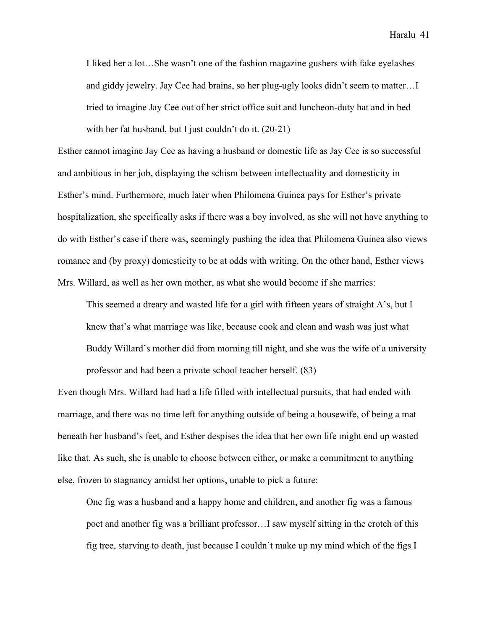I liked her a lot…She wasn't one of the fashion magazine gushers with fake eyelashes and giddy jewelry. Jay Cee had brains, so her plug-ugly looks didn't seem to matter…I tried to imagine Jay Cee out of her strict office suit and luncheon-duty hat and in bed with her fat husband, but I just couldn't do it. (20-21)

Esther cannot imagine Jay Cee as having a husband or domestic life as Jay Cee is so successful and ambitious in her job, displaying the schism between intellectuality and domesticity in Esther's mind. Furthermore, much later when Philomena Guinea pays for Esther's private hospitalization, she specifically asks if there was a boy involved, as she will not have anything to do with Esther's case if there was, seemingly pushing the idea that Philomena Guinea also views romance and (by proxy) domesticity to be at odds with writing. On the other hand, Esther views Mrs. Willard, as well as her own mother, as what she would become if she marries:

This seemed a dreary and wasted life for a girl with fifteen years of straight A's, but I knew that's what marriage was like, because cook and clean and wash was just what Buddy Willard's mother did from morning till night, and she was the wife of a university professor and had been a private school teacher herself. (83)

Even though Mrs. Willard had had a life filled with intellectual pursuits, that had ended with marriage, and there was no time left for anything outside of being a housewife, of being a mat beneath her husband's feet, and Esther despises the idea that her own life might end up wasted like that. As such, she is unable to choose between either, or make a commitment to anything else, frozen to stagnancy amidst her options, unable to pick a future:

One fig was a husband and a happy home and children, and another fig was a famous poet and another fig was a brilliant professor…I saw myself sitting in the crotch of this fig tree, starving to death, just because I couldn't make up my mind which of the figs I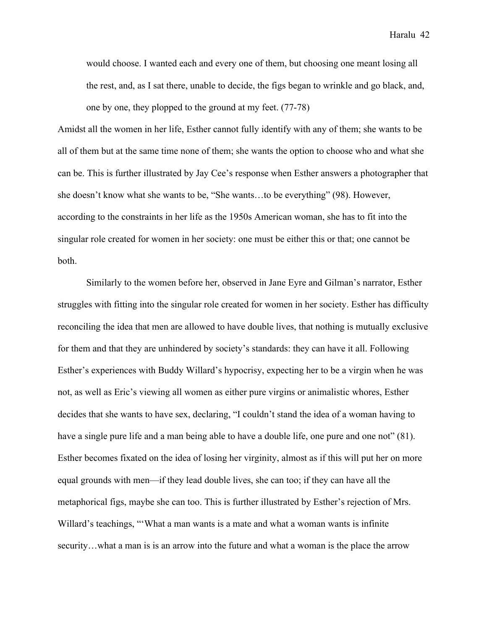would choose. I wanted each and every one of them, but choosing one meant losing all the rest, and, as I sat there, unable to decide, the figs began to wrinkle and go black, and, one by one, they plopped to the ground at my feet. (77-78)

Amidst all the women in her life, Esther cannot fully identify with any of them; she wants to be all of them but at the same time none of them; she wants the option to choose who and what she can be. This is further illustrated by Jay Cee's response when Esther answers a photographer that she doesn't know what she wants to be, "She wants…to be everything" (98). However, according to the constraints in her life as the 1950s American woman, she has to fit into the singular role created for women in her society: one must be either this or that; one cannot be both.

Similarly to the women before her, observed in Jane Eyre and Gilman's narrator, Esther struggles with fitting into the singular role created for women in her society. Esther has difficulty reconciling the idea that men are allowed to have double lives, that nothing is mutually exclusive for them and that they are unhindered by society's standards: they can have it all. Following Esther's experiences with Buddy Willard's hypocrisy, expecting her to be a virgin when he was not, as well as Eric's viewing all women as either pure virgins or animalistic whores, Esther decides that she wants to have sex, declaring, "I couldn't stand the idea of a woman having to have a single pure life and a man being able to have a double life, one pure and one not" (81). Esther becomes fixated on the idea of losing her virginity, almost as if this will put her on more equal grounds with men—if they lead double lives, she can too; if they can have all the metaphorical figs, maybe she can too. This is further illustrated by Esther's rejection of Mrs. Willard's teachings, "'What a man wants is a mate and what a woman wants is infinite security...what a man is is an arrow into the future and what a woman is the place the arrow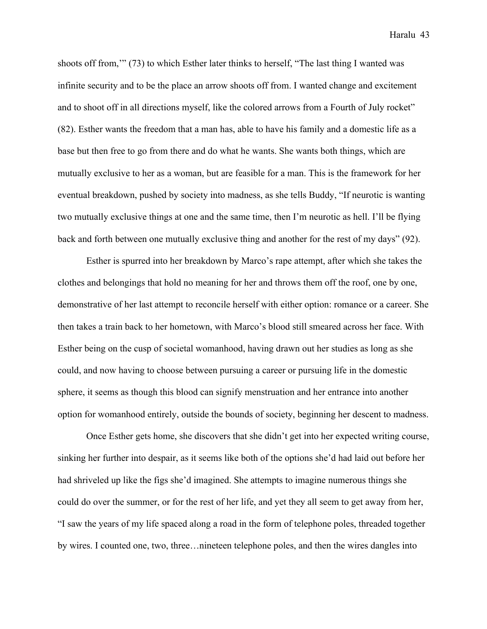shoots off from,'" (73) to which Esther later thinks to herself, "The last thing I wanted was infinite security and to be the place an arrow shoots off from. I wanted change and excitement and to shoot off in all directions myself, like the colored arrows from a Fourth of July rocket" (82). Esther wants the freedom that a man has, able to have his family and a domestic life as a base but then free to go from there and do what he wants. She wants both things, which are mutually exclusive to her as a woman, but are feasible for a man. This is the framework for her eventual breakdown, pushed by society into madness, as she tells Buddy, "If neurotic is wanting two mutually exclusive things at one and the same time, then I'm neurotic as hell. I'll be flying back and forth between one mutually exclusive thing and another for the rest of my days" (92).

Esther is spurred into her breakdown by Marco's rape attempt, after which she takes the clothes and belongings that hold no meaning for her and throws them off the roof, one by one, demonstrative of her last attempt to reconcile herself with either option: romance or a career. She then takes a train back to her hometown, with Marco's blood still smeared across her face. With Esther being on the cusp of societal womanhood, having drawn out her studies as long as she could, and now having to choose between pursuing a career or pursuing life in the domestic sphere, it seems as though this blood can signify menstruation and her entrance into another option for womanhood entirely, outside the bounds of society, beginning her descent to madness.

Once Esther gets home, she discovers that she didn't get into her expected writing course, sinking her further into despair, as it seems like both of the options she'd had laid out before her had shriveled up like the figs she'd imagined. She attempts to imagine numerous things she could do over the summer, or for the rest of her life, and yet they all seem to get away from her, "I saw the years of my life spaced along a road in the form of telephone poles, threaded together by wires. I counted one, two, three…nineteen telephone poles, and then the wires dangles into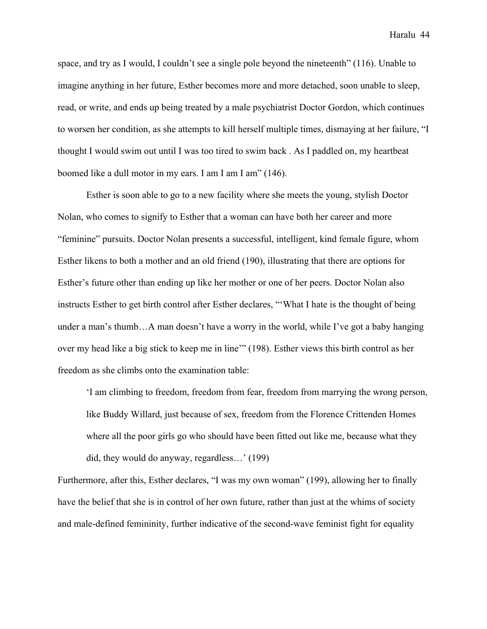space, and try as I would, I couldn't see a single pole beyond the nineteenth" (116). Unable to imagine anything in her future, Esther becomes more and more detached, soon unable to sleep, read, or write, and ends up being treated by a male psychiatrist Doctor Gordon, which continues to worsen her condition, as she attempts to kill herself multiple times, dismaying at her failure, "I thought I would swim out until I was too tired to swim back . As I paddled on, my heartbeat boomed like a dull motor in my ears. I am I am I am" (146).

Esther is soon able to go to a new facility where she meets the young, stylish Doctor Nolan, who comes to signify to Esther that a woman can have both her career and more "feminine" pursuits. Doctor Nolan presents a successful, intelligent, kind female figure, whom Esther likens to both a mother and an old friend (190), illustrating that there are options for Esther's future other than ending up like her mother or one of her peers. Doctor Nolan also instructs Esther to get birth control after Esther declares, "'What I hate is the thought of being under a man's thumb…A man doesn't have a worry in the world, while I've got a baby hanging over my head like a big stick to keep me in line'" (198). Esther views this birth control as her freedom as she climbs onto the examination table:

'I am climbing to freedom, freedom from fear, freedom from marrying the wrong person, like Buddy Willard, just because of sex, freedom from the Florence Crittenden Homes where all the poor girls go who should have been fitted out like me, because what they did, they would do anyway, regardless…' (199)

Furthermore, after this, Esther declares, "I was my own woman" (199), allowing her to finally have the belief that she is in control of her own future, rather than just at the whims of society and male-defined femininity, further indicative of the second-wave feminist fight for equality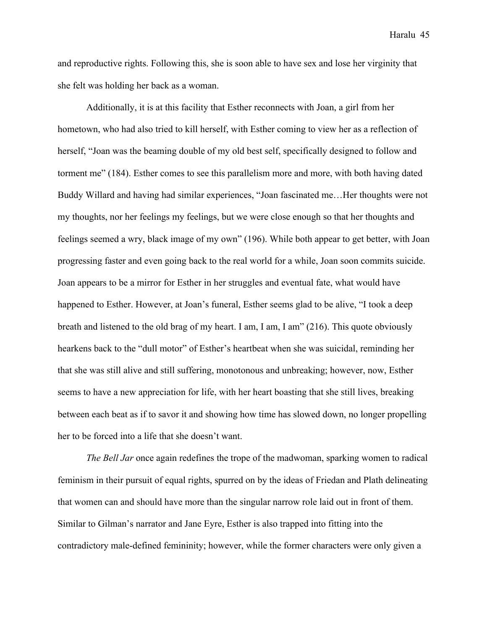and reproductive rights. Following this, she is soon able to have sex and lose her virginity that she felt was holding her back as a woman.

Additionally, it is at this facility that Esther reconnects with Joan, a girl from her hometown, who had also tried to kill herself, with Esther coming to view her as a reflection of herself, "Joan was the beaming double of my old best self, specifically designed to follow and torment me" (184). Esther comes to see this parallelism more and more, with both having dated Buddy Willard and having had similar experiences, "Joan fascinated me…Her thoughts were not my thoughts, nor her feelings my feelings, but we were close enough so that her thoughts and feelings seemed a wry, black image of my own" (196). While both appear to get better, with Joan progressing faster and even going back to the real world for a while, Joan soon commits suicide. Joan appears to be a mirror for Esther in her struggles and eventual fate, what would have happened to Esther. However, at Joan's funeral, Esther seems glad to be alive, "I took a deep breath and listened to the old brag of my heart. I am, I am, I am" (216). This quote obviously hearkens back to the "dull motor" of Esther's heartbeat when she was suicidal, reminding her that she was still alive and still suffering, monotonous and unbreaking; however, now, Esther seems to have a new appreciation for life, with her heart boasting that she still lives, breaking between each beat as if to savor it and showing how time has slowed down, no longer propelling her to be forced into a life that she doesn't want.

*The Bell Jar* once again redefines the trope of the madwoman, sparking women to radical feminism in their pursuit of equal rights, spurred on by the ideas of Friedan and Plath delineating that women can and should have more than the singular narrow role laid out in front of them. Similar to Gilman's narrator and Jane Eyre, Esther is also trapped into fitting into the contradictory male-defined femininity; however, while the former characters were only given a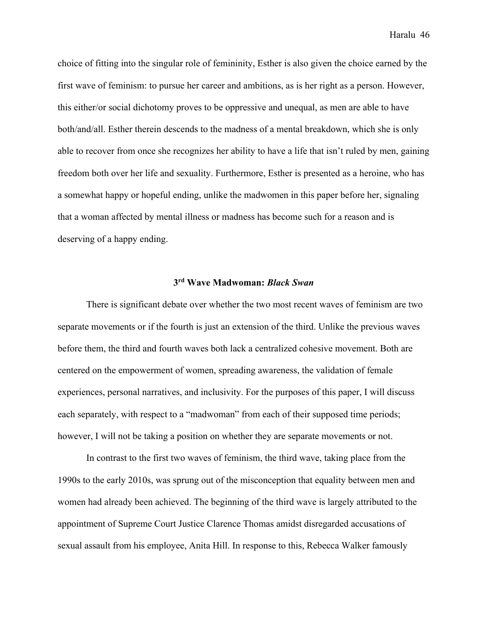choice of fitting into the singular role of femininity, Esther is also given the choice earned by the first wave of feminism: to pursue her career and ambitions, as is her right as a person. However, this either/or social dichotomy proves to be oppressive and unequal, as men are able to have both/and/all. Esther therein descends to the madness of a mental breakdown, which she is only able to recover from once she recognizes her ability to have a life that isn't ruled by men, gaining freedom both over her life and sexuality. Furthermore, Esther is presented as a heroine, who has a somewhat happy or hopeful ending, unlike the madwomen in this paper before her, signaling that a woman affected by mental illness or madness has become such for a reason and is deserving of a happy ending.

# **3rd Wave Madwoman:** *Black Swan*

There is significant debate over whether the two most recent waves of feminism are two separate movements or if the fourth is just an extension of the third. Unlike the previous waves before them, the third and fourth waves both lack a centralized cohesive movement. Both are centered on the empowerment of women, spreading awareness, the validation of female experiences, personal narratives, and inclusivity. For the purposes of this paper, I will discuss each separately, with respect to a "madwoman" from each of their supposed time periods; however, I will not be taking a position on whether they are separate movements or not.

In contrast to the first two waves of feminism, the third wave, taking place from the 1990s to the early 2010s, was sprung out of the misconception that equality between men and women had already been achieved. The beginning of the third wave is largely attributed to the appointment of Supreme Court Justice Clarence Thomas amidst disregarded accusations of sexual assault from his employee, Anita Hill. In response to this, Rebecca Walker famously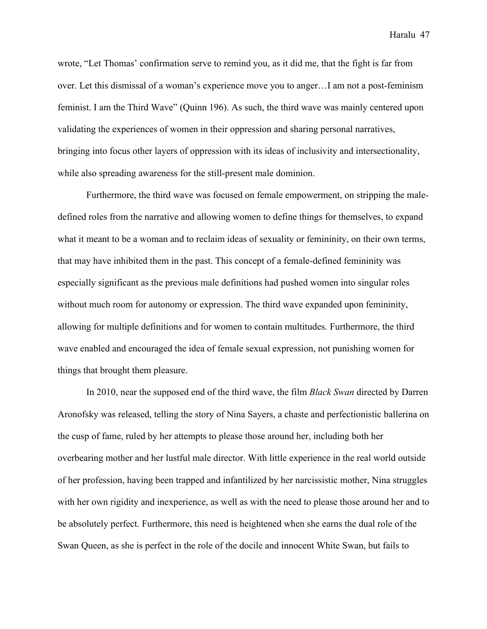wrote, "Let Thomas' confirmation serve to remind you, as it did me, that the fight is far from over. Let this dismissal of a woman's experience move you to anger…I am not a post-feminism feminist. I am the Third Wave" (Quinn 196). As such, the third wave was mainly centered upon validating the experiences of women in their oppression and sharing personal narratives, bringing into focus other layers of oppression with its ideas of inclusivity and intersectionality, while also spreading awareness for the still-present male dominion.

Furthermore, the third wave was focused on female empowerment, on stripping the maledefined roles from the narrative and allowing women to define things for themselves, to expand what it meant to be a woman and to reclaim ideas of sexuality or femininity, on their own terms, that may have inhibited them in the past. This concept of a female-defined femininity was especially significant as the previous male definitions had pushed women into singular roles without much room for autonomy or expression. The third wave expanded upon femininity, allowing for multiple definitions and for women to contain multitudes. Furthermore, the third wave enabled and encouraged the idea of female sexual expression, not punishing women for things that brought them pleasure.

In 2010, near the supposed end of the third wave, the film *Black Swan* directed by Darren Aronofsky was released, telling the story of Nina Sayers, a chaste and perfectionistic ballerina on the cusp of fame, ruled by her attempts to please those around her, including both her overbearing mother and her lustful male director. With little experience in the real world outside of her profession, having been trapped and infantilized by her narcissistic mother, Nina struggles with her own rigidity and inexperience, as well as with the need to please those around her and to be absolutely perfect. Furthermore, this need is heightened when she earns the dual role of the Swan Queen, as she is perfect in the role of the docile and innocent White Swan, but fails to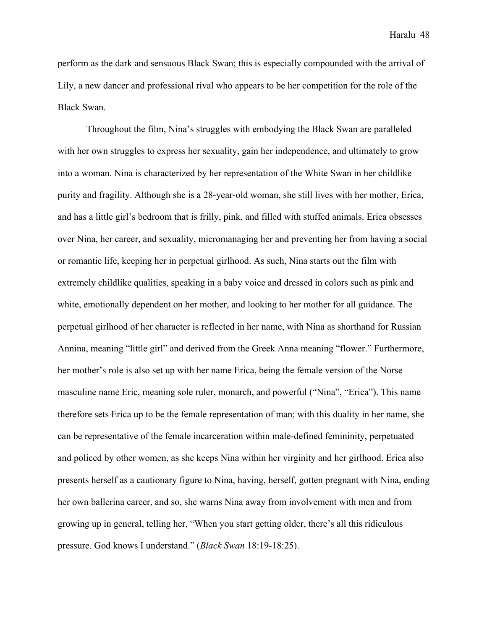perform as the dark and sensuous Black Swan; this is especially compounded with the arrival of Lily, a new dancer and professional rival who appears to be her competition for the role of the Black Swan.

Throughout the film, Nina's struggles with embodying the Black Swan are paralleled with her own struggles to express her sexuality, gain her independence, and ultimately to grow into a woman. Nina is characterized by her representation of the White Swan in her childlike purity and fragility. Although she is a 28-year-old woman, she still lives with her mother, Erica, and has a little girl's bedroom that is frilly, pink, and filled with stuffed animals. Erica obsesses over Nina, her career, and sexuality, micromanaging her and preventing her from having a social or romantic life, keeping her in perpetual girlhood. As such, Nina starts out the film with extremely childlike qualities, speaking in a baby voice and dressed in colors such as pink and white, emotionally dependent on her mother, and looking to her mother for all guidance. The perpetual girlhood of her character is reflected in her name, with Nina as shorthand for Russian Annina, meaning "little girl" and derived from the Greek Anna meaning "flower." Furthermore, her mother's role is also set up with her name Erica, being the female version of the Norse masculine name Eric, meaning sole ruler, monarch, and powerful ("Nina", "Erica"). This name therefore sets Erica up to be the female representation of man; with this duality in her name, she can be representative of the female incarceration within male-defined femininity, perpetuated and policed by other women, as she keeps Nina within her virginity and her girlhood. Erica also presents herself as a cautionary figure to Nina, having, herself, gotten pregnant with Nina, ending her own ballerina career, and so, she warns Nina away from involvement with men and from growing up in general, telling her, "When you start getting older, there's all this ridiculous pressure. God knows I understand." (*Black Swan* 18:19-18:25).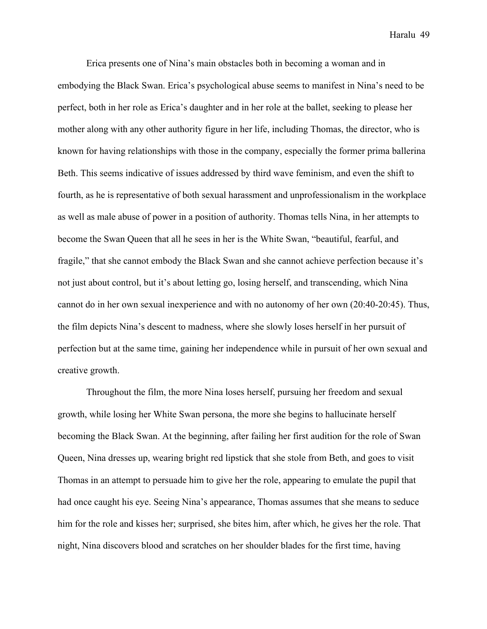Erica presents one of Nina's main obstacles both in becoming a woman and in embodying the Black Swan. Erica's psychological abuse seems to manifest in Nina's need to be perfect, both in her role as Erica's daughter and in her role at the ballet, seeking to please her mother along with any other authority figure in her life, including Thomas, the director, who is known for having relationships with those in the company, especially the former prima ballerina Beth. This seems indicative of issues addressed by third wave feminism, and even the shift to fourth, as he is representative of both sexual harassment and unprofessionalism in the workplace as well as male abuse of power in a position of authority. Thomas tells Nina, in her attempts to become the Swan Queen that all he sees in her is the White Swan, "beautiful, fearful, and fragile," that she cannot embody the Black Swan and she cannot achieve perfection because it's not just about control, but it's about letting go, losing herself, and transcending, which Nina cannot do in her own sexual inexperience and with no autonomy of her own (20:40-20:45). Thus, the film depicts Nina's descent to madness, where she slowly loses herself in her pursuit of perfection but at the same time, gaining her independence while in pursuit of her own sexual and creative growth.

Throughout the film, the more Nina loses herself, pursuing her freedom and sexual growth, while losing her White Swan persona, the more she begins to hallucinate herself becoming the Black Swan. At the beginning, after failing her first audition for the role of Swan Queen, Nina dresses up, wearing bright red lipstick that she stole from Beth, and goes to visit Thomas in an attempt to persuade him to give her the role, appearing to emulate the pupil that had once caught his eye. Seeing Nina's appearance, Thomas assumes that she means to seduce him for the role and kisses her; surprised, she bites him, after which, he gives her the role. That night, Nina discovers blood and scratches on her shoulder blades for the first time, having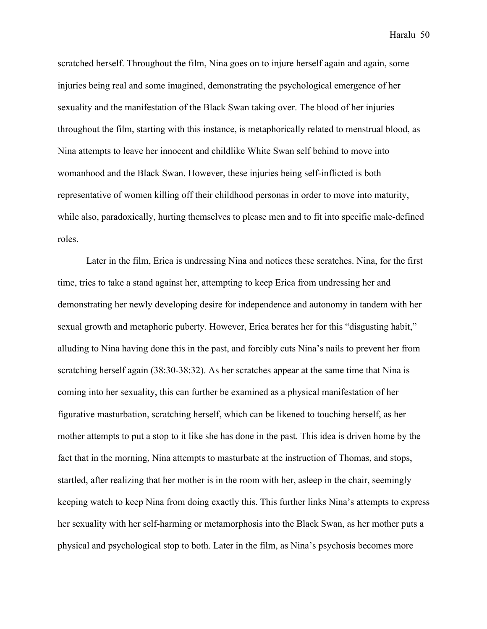scratched herself. Throughout the film, Nina goes on to injure herself again and again, some injuries being real and some imagined, demonstrating the psychological emergence of her sexuality and the manifestation of the Black Swan taking over. The blood of her injuries throughout the film, starting with this instance, is metaphorically related to menstrual blood, as Nina attempts to leave her innocent and childlike White Swan self behind to move into womanhood and the Black Swan. However, these injuries being self-inflicted is both representative of women killing off their childhood personas in order to move into maturity, while also, paradoxically, hurting themselves to please men and to fit into specific male-defined roles.

Later in the film, Erica is undressing Nina and notices these scratches. Nina, for the first time, tries to take a stand against her, attempting to keep Erica from undressing her and demonstrating her newly developing desire for independence and autonomy in tandem with her sexual growth and metaphoric puberty. However, Erica berates her for this "disgusting habit," alluding to Nina having done this in the past, and forcibly cuts Nina's nails to prevent her from scratching herself again (38:30-38:32). As her scratches appear at the same time that Nina is coming into her sexuality, this can further be examined as a physical manifestation of her figurative masturbation, scratching herself, which can be likened to touching herself, as her mother attempts to put a stop to it like she has done in the past. This idea is driven home by the fact that in the morning, Nina attempts to masturbate at the instruction of Thomas, and stops, startled, after realizing that her mother is in the room with her, asleep in the chair, seemingly keeping watch to keep Nina from doing exactly this. This further links Nina's attempts to express her sexuality with her self-harming or metamorphosis into the Black Swan, as her mother puts a physical and psychological stop to both. Later in the film, as Nina's psychosis becomes more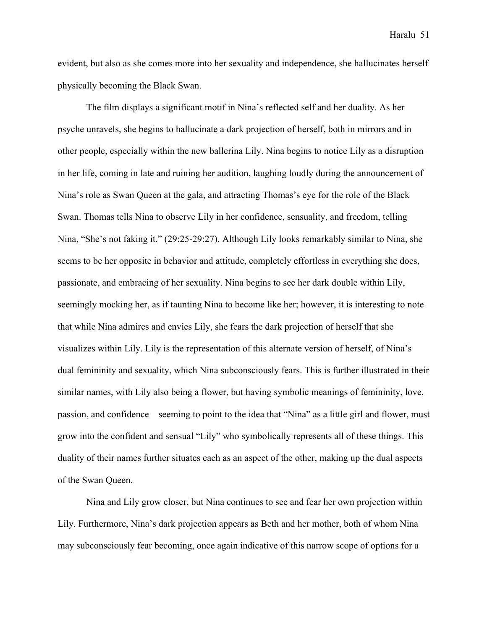evident, but also as she comes more into her sexuality and independence, she hallucinates herself physically becoming the Black Swan.

The film displays a significant motif in Nina's reflected self and her duality. As her psyche unravels, she begins to hallucinate a dark projection of herself, both in mirrors and in other people, especially within the new ballerina Lily. Nina begins to notice Lily as a disruption in her life, coming in late and ruining her audition, laughing loudly during the announcement of Nina's role as Swan Queen at the gala, and attracting Thomas's eye for the role of the Black Swan. Thomas tells Nina to observe Lily in her confidence, sensuality, and freedom, telling Nina, "She's not faking it." (29:25-29:27). Although Lily looks remarkably similar to Nina, she seems to be her opposite in behavior and attitude, completely effortless in everything she does, passionate, and embracing of her sexuality. Nina begins to see her dark double within Lily, seemingly mocking her, as if taunting Nina to become like her; however, it is interesting to note that while Nina admires and envies Lily, she fears the dark projection of herself that she visualizes within Lily. Lily is the representation of this alternate version of herself, of Nina's dual femininity and sexuality, which Nina subconsciously fears. This is further illustrated in their similar names, with Lily also being a flower, but having symbolic meanings of femininity, love, passion, and confidence—seeming to point to the idea that "Nina" as a little girl and flower, must grow into the confident and sensual "Lily" who symbolically represents all of these things. This duality of their names further situates each as an aspect of the other, making up the dual aspects of the Swan Queen.

Nina and Lily grow closer, but Nina continues to see and fear her own projection within Lily. Furthermore, Nina's dark projection appears as Beth and her mother, both of whom Nina may subconsciously fear becoming, once again indicative of this narrow scope of options for a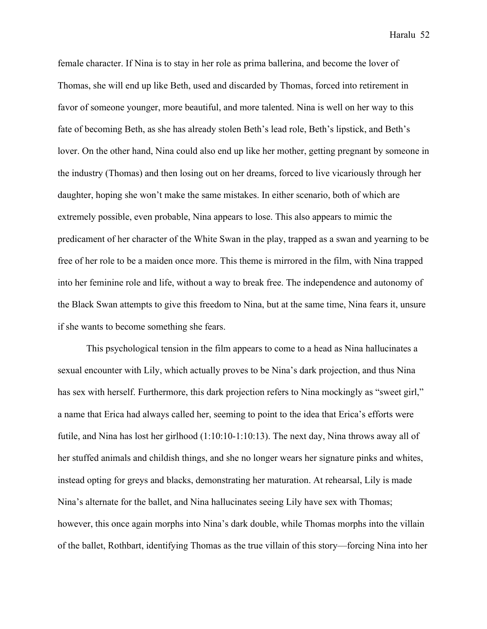female character. If Nina is to stay in her role as prima ballerina, and become the lover of Thomas, she will end up like Beth, used and discarded by Thomas, forced into retirement in favor of someone younger, more beautiful, and more talented. Nina is well on her way to this fate of becoming Beth, as she has already stolen Beth's lead role, Beth's lipstick, and Beth's lover. On the other hand, Nina could also end up like her mother, getting pregnant by someone in the industry (Thomas) and then losing out on her dreams, forced to live vicariously through her daughter, hoping she won't make the same mistakes. In either scenario, both of which are extremely possible, even probable, Nina appears to lose. This also appears to mimic the predicament of her character of the White Swan in the play, trapped as a swan and yearning to be free of her role to be a maiden once more. This theme is mirrored in the film, with Nina trapped into her feminine role and life, without a way to break free. The independence and autonomy of the Black Swan attempts to give this freedom to Nina, but at the same time, Nina fears it, unsure if she wants to become something she fears.

This psychological tension in the film appears to come to a head as Nina hallucinates a sexual encounter with Lily, which actually proves to be Nina's dark projection, and thus Nina has sex with herself. Furthermore, this dark projection refers to Nina mockingly as "sweet girl," a name that Erica had always called her, seeming to point to the idea that Erica's efforts were futile, and Nina has lost her girlhood (1:10:10-1:10:13). The next day, Nina throws away all of her stuffed animals and childish things, and she no longer wears her signature pinks and whites, instead opting for greys and blacks, demonstrating her maturation. At rehearsal, Lily is made Nina's alternate for the ballet, and Nina hallucinates seeing Lily have sex with Thomas; however, this once again morphs into Nina's dark double, while Thomas morphs into the villain of the ballet, Rothbart, identifying Thomas as the true villain of this story—forcing Nina into her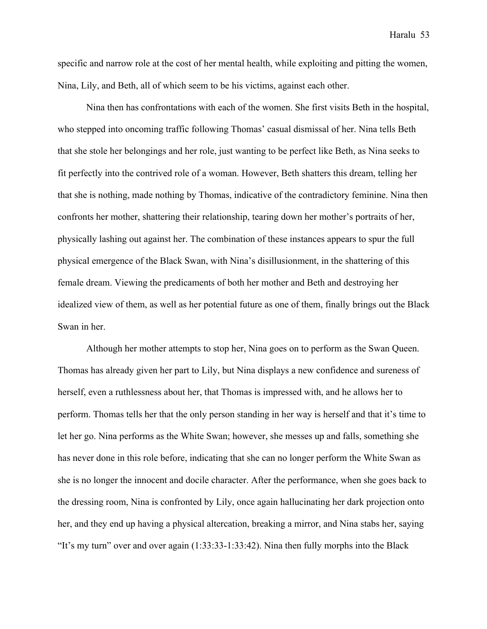specific and narrow role at the cost of her mental health, while exploiting and pitting the women, Nina, Lily, and Beth, all of which seem to be his victims, against each other.

Nina then has confrontations with each of the women. She first visits Beth in the hospital, who stepped into oncoming traffic following Thomas' casual dismissal of her. Nina tells Beth that she stole her belongings and her role, just wanting to be perfect like Beth, as Nina seeks to fit perfectly into the contrived role of a woman. However, Beth shatters this dream, telling her that she is nothing, made nothing by Thomas, indicative of the contradictory feminine. Nina then confronts her mother, shattering their relationship, tearing down her mother's portraits of her, physically lashing out against her. The combination of these instances appears to spur the full physical emergence of the Black Swan, with Nina's disillusionment, in the shattering of this female dream. Viewing the predicaments of both her mother and Beth and destroying her idealized view of them, as well as her potential future as one of them, finally brings out the Black Swan in her.

Although her mother attempts to stop her, Nina goes on to perform as the Swan Queen. Thomas has already given her part to Lily, but Nina displays a new confidence and sureness of herself, even a ruthlessness about her, that Thomas is impressed with, and he allows her to perform. Thomas tells her that the only person standing in her way is herself and that it's time to let her go. Nina performs as the White Swan; however, she messes up and falls, something she has never done in this role before, indicating that she can no longer perform the White Swan as she is no longer the innocent and docile character. After the performance, when she goes back to the dressing room, Nina is confronted by Lily, once again hallucinating her dark projection onto her, and they end up having a physical altercation, breaking a mirror, and Nina stabs her, saying "It's my turn" over and over again (1:33:33-1:33:42). Nina then fully morphs into the Black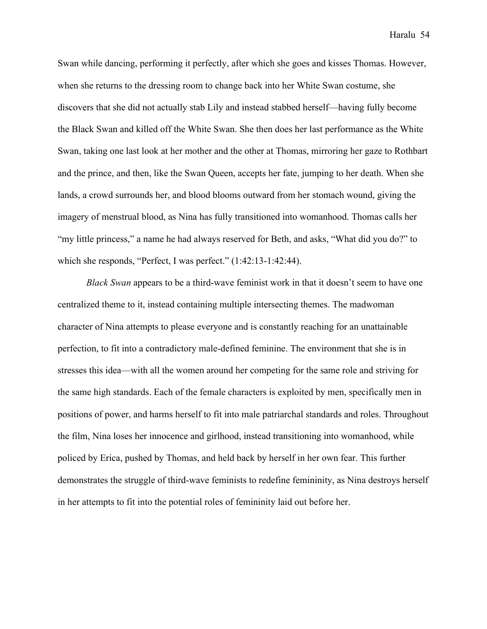Swan while dancing, performing it perfectly, after which she goes and kisses Thomas. However, when she returns to the dressing room to change back into her White Swan costume, she discovers that she did not actually stab Lily and instead stabbed herself—having fully become the Black Swan and killed off the White Swan. She then does her last performance as the White Swan, taking one last look at her mother and the other at Thomas, mirroring her gaze to Rothbart and the prince, and then, like the Swan Queen, accepts her fate, jumping to her death. When she lands, a crowd surrounds her, and blood blooms outward from her stomach wound, giving the imagery of menstrual blood, as Nina has fully transitioned into womanhood. Thomas calls her "my little princess," a name he had always reserved for Beth, and asks, "What did you do?" to which she responds, "Perfect, I was perfect." (1:42:13-1:42:44).

*Black Swan* appears to be a third-wave feminist work in that it doesn't seem to have one centralized theme to it, instead containing multiple intersecting themes. The madwoman character of Nina attempts to please everyone and is constantly reaching for an unattainable perfection, to fit into a contradictory male-defined feminine. The environment that she is in stresses this idea—with all the women around her competing for the same role and striving for the same high standards. Each of the female characters is exploited by men, specifically men in positions of power, and harms herself to fit into male patriarchal standards and roles. Throughout the film, Nina loses her innocence and girlhood, instead transitioning into womanhood, while policed by Erica, pushed by Thomas, and held back by herself in her own fear. This further demonstrates the struggle of third-wave feminists to redefine femininity, as Nina destroys herself in her attempts to fit into the potential roles of femininity laid out before her.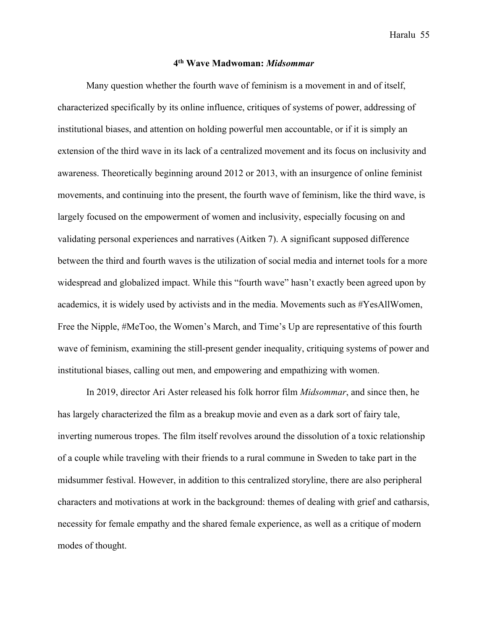## **4th Wave Madwoman:** *Midsommar*

Many question whether the fourth wave of feminism is a movement in and of itself, characterized specifically by its online influence, critiques of systems of power, addressing of institutional biases, and attention on holding powerful men accountable, or if it is simply an extension of the third wave in its lack of a centralized movement and its focus on inclusivity and awareness. Theoretically beginning around 2012 or 2013, with an insurgence of online feminist movements, and continuing into the present, the fourth wave of feminism, like the third wave, is largely focused on the empowerment of women and inclusivity, especially focusing on and validating personal experiences and narratives (Aitken 7). A significant supposed difference between the third and fourth waves is the utilization of social media and internet tools for a more widespread and globalized impact. While this "fourth wave" hasn't exactly been agreed upon by academics, it is widely used by activists and in the media. Movements such as #YesAllWomen, Free the Nipple, #MeToo, the Women's March, and Time's Up are representative of this fourth wave of feminism, examining the still-present gender inequality, critiquing systems of power and institutional biases, calling out men, and empowering and empathizing with women.

In 2019, director Ari Aster released his folk horror film *Midsommar*, and since then, he has largely characterized the film as a breakup movie and even as a dark sort of fairy tale, inverting numerous tropes. The film itself revolves around the dissolution of a toxic relationship of a couple while traveling with their friends to a rural commune in Sweden to take part in the midsummer festival. However, in addition to this centralized storyline, there are also peripheral characters and motivations at work in the background: themes of dealing with grief and catharsis, necessity for female empathy and the shared female experience, as well as a critique of modern modes of thought.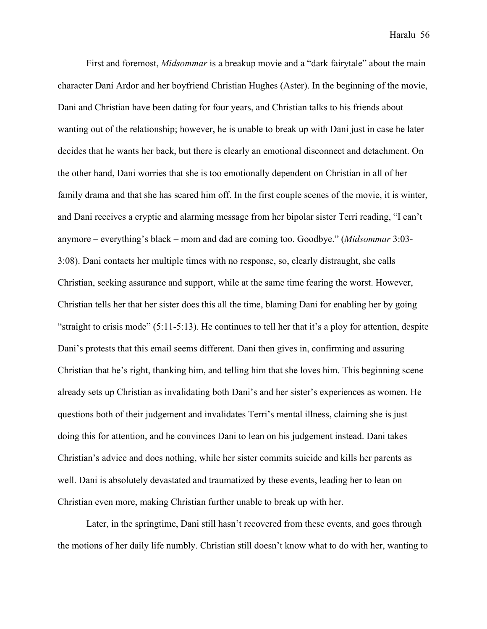First and foremost, *Midsommar* is a breakup movie and a "dark fairytale" about the main character Dani Ardor and her boyfriend Christian Hughes (Aster). In the beginning of the movie, Dani and Christian have been dating for four years, and Christian talks to his friends about wanting out of the relationship; however, he is unable to break up with Dani just in case he later decides that he wants her back, but there is clearly an emotional disconnect and detachment. On the other hand, Dani worries that she is too emotionally dependent on Christian in all of her family drama and that she has scared him off. In the first couple scenes of the movie, it is winter, and Dani receives a cryptic and alarming message from her bipolar sister Terri reading, "I can't anymore – everything's black – mom and dad are coming too. Goodbye." (*Midsommar* 3:03- 3:08). Dani contacts her multiple times with no response, so, clearly distraught, she calls Christian, seeking assurance and support, while at the same time fearing the worst. However, Christian tells her that her sister does this all the time, blaming Dani for enabling her by going "straight to crisis mode" (5:11-5:13). He continues to tell her that it's a ploy for attention, despite Dani's protests that this email seems different. Dani then gives in, confirming and assuring Christian that he's right, thanking him, and telling him that she loves him. This beginning scene already sets up Christian as invalidating both Dani's and her sister's experiences as women. He questions both of their judgement and invalidates Terri's mental illness, claiming she is just doing this for attention, and he convinces Dani to lean on his judgement instead. Dani takes Christian's advice and does nothing, while her sister commits suicide and kills her parents as well. Dani is absolutely devastated and traumatized by these events, leading her to lean on Christian even more, making Christian further unable to break up with her.

Later, in the springtime, Dani still hasn't recovered from these events, and goes through the motions of her daily life numbly. Christian still doesn't know what to do with her, wanting to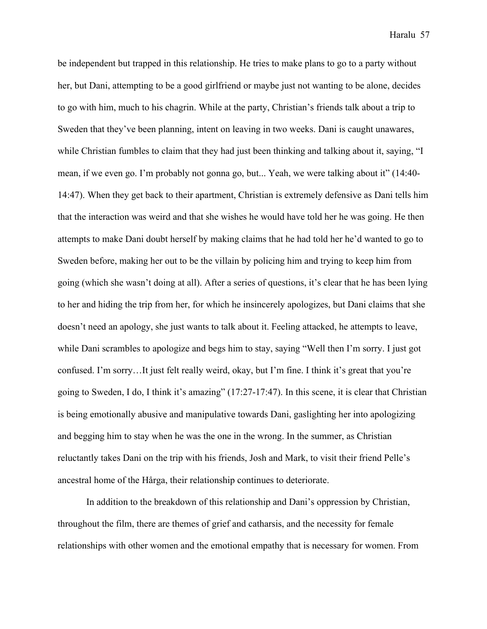be independent but trapped in this relationship. He tries to make plans to go to a party without her, but Dani, attempting to be a good girlfriend or maybe just not wanting to be alone, decides to go with him, much to his chagrin. While at the party, Christian's friends talk about a trip to Sweden that they've been planning, intent on leaving in two weeks. Dani is caught unawares, while Christian fumbles to claim that they had just been thinking and talking about it, saying, "I mean, if we even go. I'm probably not gonna go, but... Yeah, we were talking about it" (14:40- 14:47). When they get back to their apartment, Christian is extremely defensive as Dani tells him that the interaction was weird and that she wishes he would have told her he was going. He then attempts to make Dani doubt herself by making claims that he had told her he'd wanted to go to Sweden before, making her out to be the villain by policing him and trying to keep him from going (which she wasn't doing at all). After a series of questions, it's clear that he has been lying to her and hiding the trip from her, for which he insincerely apologizes, but Dani claims that she doesn't need an apology, she just wants to talk about it. Feeling attacked, he attempts to leave, while Dani scrambles to apologize and begs him to stay, saying "Well then I'm sorry. I just got confused. I'm sorry…It just felt really weird, okay, but I'm fine. I think it's great that you're going to Sweden, I do, I think it's amazing" (17:27-17:47). In this scene, it is clear that Christian is being emotionally abusive and manipulative towards Dani, gaslighting her into apologizing and begging him to stay when he was the one in the wrong. In the summer, as Christian reluctantly takes Dani on the trip with his friends, Josh and Mark, to visit their friend Pelle's ancestral home of the Hårga, their relationship continues to deteriorate.

In addition to the breakdown of this relationship and Dani's oppression by Christian, throughout the film, there are themes of grief and catharsis, and the necessity for female relationships with other women and the emotional empathy that is necessary for women. From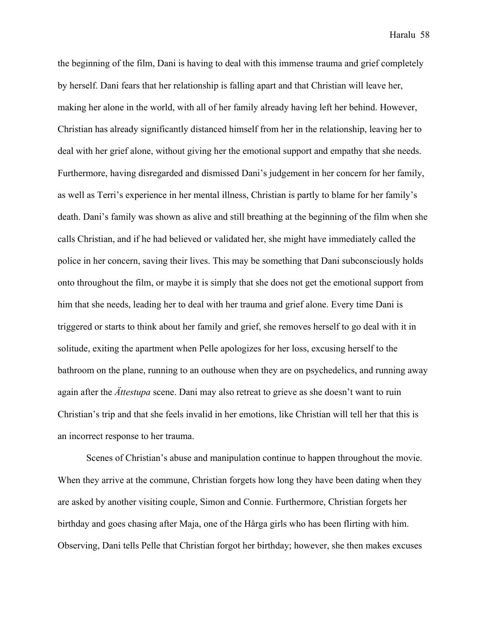the beginning of the film, Dani is having to deal with this immense trauma and grief completely by herself. Dani fears that her relationship is falling apart and that Christian will leave her, making her alone in the world, with all of her family already having left her behind. However, Christian has already significantly distanced himself from her in the relationship, leaving her to deal with her grief alone, without giving her the emotional support and empathy that she needs. Furthermore, having disregarded and dismissed Dani's judgement in her concern for her family, as well as Terri's experience in her mental illness, Christian is partly to blame for her family's death. Dani's family was shown as alive and still breathing at the beginning of the film when she calls Christian, and if he had believed or validated her, she might have immediately called the police in her concern, saving their lives. This may be something that Dani subconsciously holds onto throughout the film, or maybe it is simply that she does not get the emotional support from him that she needs, leading her to deal with her trauma and grief alone. Every time Dani is triggered or starts to think about her family and grief, she removes herself to go deal with it in solitude, exiting the apartment when Pelle apologizes for her loss, excusing herself to the bathroom on the plane, running to an outhouse when they are on psychedelics, and running away again after the *Ättestupa* scene. Dani may also retreat to grieve as she doesn't want to ruin Christian's trip and that she feels invalid in her emotions, like Christian will tell her that this is an incorrect response to her trauma.

Scenes of Christian's abuse and manipulation continue to happen throughout the movie. When they arrive at the commune, Christian forgets how long they have been dating when they are asked by another visiting couple, Simon and Connie. Furthermore, Christian forgets her birthday and goes chasing after Maja, one of the Hårga girls who has been flirting with him. Observing, Dani tells Pelle that Christian forgot her birthday; however, she then makes excuses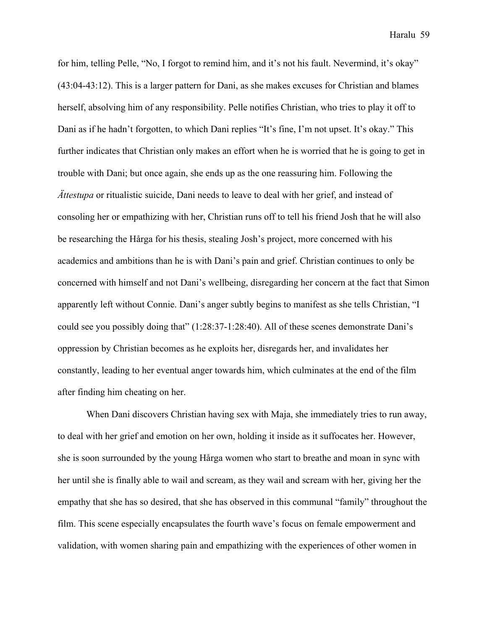for him, telling Pelle, "No, I forgot to remind him, and it's not his fault. Nevermind, it's okay" (43:04-43:12). This is a larger pattern for Dani, as she makes excuses for Christian and blames herself, absolving him of any responsibility. Pelle notifies Christian, who tries to play it off to Dani as if he hadn't forgotten, to which Dani replies "It's fine, I'm not upset. It's okay." This further indicates that Christian only makes an effort when he is worried that he is going to get in trouble with Dani; but once again, she ends up as the one reassuring him. Following the *Ättestupa* or ritualistic suicide, Dani needs to leave to deal with her grief, and instead of consoling her or empathizing with her, Christian runs off to tell his friend Josh that he will also be researching the Hårga for his thesis, stealing Josh's project, more concerned with his academics and ambitions than he is with Dani's pain and grief. Christian continues to only be concerned with himself and not Dani's wellbeing, disregarding her concern at the fact that Simon apparently left without Connie. Dani's anger subtly begins to manifest as she tells Christian, "I could see you possibly doing that" (1:28:37-1:28:40). All of these scenes demonstrate Dani's oppression by Christian becomes as he exploits her, disregards her, and invalidates her constantly, leading to her eventual anger towards him, which culminates at the end of the film after finding him cheating on her.

When Dani discovers Christian having sex with Maja, she immediately tries to run away, to deal with her grief and emotion on her own, holding it inside as it suffocates her. However, she is soon surrounded by the young Hårga women who start to breathe and moan in sync with her until she is finally able to wail and scream, as they wail and scream with her, giving her the empathy that she has so desired, that she has observed in this communal "family" throughout the film. This scene especially encapsulates the fourth wave's focus on female empowerment and validation, with women sharing pain and empathizing with the experiences of other women in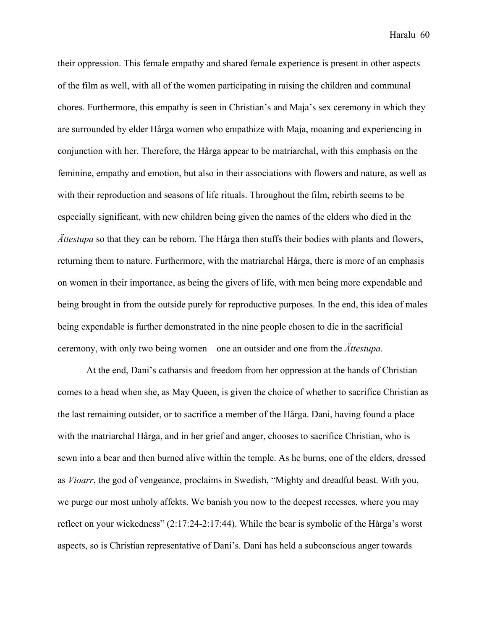their oppression. This female empathy and shared female experience is present in other aspects of the film as well, with all of the women participating in raising the children and communal chores. Furthermore, this empathy is seen in Christian's and Maja's sex ceremony in which they are surrounded by elder Hårga women who empathize with Maja, moaning and experiencing in conjunction with her. Therefore, the Hårga appear to be matriarchal, with this emphasis on the feminine, empathy and emotion, but also in their associations with flowers and nature, as well as with their reproduction and seasons of life rituals. Throughout the film, rebirth seems to be especially significant, with new children being given the names of the elders who died in the *Ättestupa* so that they can be reborn. The Hårga then stuffs their bodies with plants and flowers, returning them to nature. Furthermore, with the matriarchal Hårga, there is more of an emphasis on women in their importance, as being the givers of life, with men being more expendable and being brought in from the outside purely for reproductive purposes. In the end, this idea of males being expendable is further demonstrated in the nine people chosen to die in the sacrificial ceremony, with only two being women—one an outsider and one from the *Ättestupa*.

At the end, Dani's catharsis and freedom from her oppression at the hands of Christian comes to a head when she, as May Queen, is given the choice of whether to sacrifice Christian as the last remaining outsider, or to sacrifice a member of the Hårga. Dani, having found a place with the matriarchal Hårga, and in her grief and anger, chooses to sacrifice Christian, who is sewn into a bear and then burned alive within the temple. As he burns, one of the elders, dressed as *Vioarr*, the god of vengeance, proclaims in Swedish, "Mighty and dreadful beast. With you, we purge our most unholy affekts. We banish you now to the deepest recesses, where you may reflect on your wickedness" (2:17:24-2:17:44). While the bear is symbolic of the Hårga's worst aspects, so is Christian representative of Dani's. Dani has held a subconscious anger towards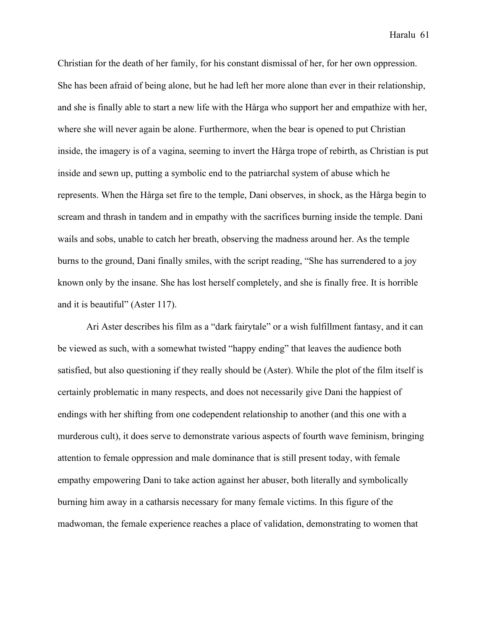Christian for the death of her family, for his constant dismissal of her, for her own oppression. She has been afraid of being alone, but he had left her more alone than ever in their relationship, and she is finally able to start a new life with the Hårga who support her and empathize with her, where she will never again be alone. Furthermore, when the bear is opened to put Christian inside, the imagery is of a vagina, seeming to invert the Hårga trope of rebirth, as Christian is put inside and sewn up, putting a symbolic end to the patriarchal system of abuse which he represents. When the Hårga set fire to the temple, Dani observes, in shock, as the Hårga begin to scream and thrash in tandem and in empathy with the sacrifices burning inside the temple. Dani wails and sobs, unable to catch her breath, observing the madness around her. As the temple burns to the ground, Dani finally smiles, with the script reading, "She has surrendered to a joy known only by the insane. She has lost herself completely, and she is finally free. It is horrible and it is beautiful" (Aster 117).

Ari Aster describes his film as a "dark fairytale" or a wish fulfillment fantasy, and it can be viewed as such, with a somewhat twisted "happy ending" that leaves the audience both satisfied, but also questioning if they really should be (Aster). While the plot of the film itself is certainly problematic in many respects, and does not necessarily give Dani the happiest of endings with her shifting from one codependent relationship to another (and this one with a murderous cult), it does serve to demonstrate various aspects of fourth wave feminism, bringing attention to female oppression and male dominance that is still present today, with female empathy empowering Dani to take action against her abuser, both literally and symbolically burning him away in a catharsis necessary for many female victims. In this figure of the madwoman, the female experience reaches a place of validation, demonstrating to women that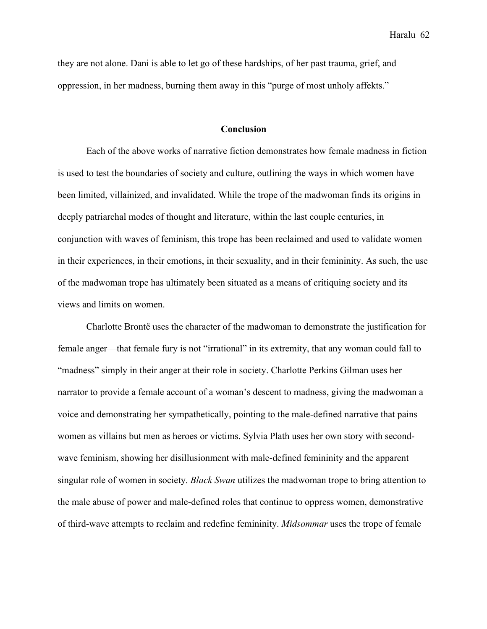they are not alone. Dani is able to let go of these hardships, of her past trauma, grief, and oppression, in her madness, burning them away in this "purge of most unholy affekts."

#### **Conclusion**

Each of the above works of narrative fiction demonstrates how female madness in fiction is used to test the boundaries of society and culture, outlining the ways in which women have been limited, villainized, and invalidated. While the trope of the madwoman finds its origins in deeply patriarchal modes of thought and literature, within the last couple centuries, in conjunction with waves of feminism, this trope has been reclaimed and used to validate women in their experiences, in their emotions, in their sexuality, and in their femininity. As such, the use of the madwoman trope has ultimately been situated as a means of critiquing society and its views and limits on women.

Charlotte Brontë uses the character of the madwoman to demonstrate the justification for female anger—that female fury is not "irrational" in its extremity, that any woman could fall to "madness" simply in their anger at their role in society. Charlotte Perkins Gilman uses her narrator to provide a female account of a woman's descent to madness, giving the madwoman a voice and demonstrating her sympathetically, pointing to the male-defined narrative that pains women as villains but men as heroes or victims. Sylvia Plath uses her own story with secondwave feminism, showing her disillusionment with male-defined femininity and the apparent singular role of women in society. *Black Swan* utilizes the madwoman trope to bring attention to the male abuse of power and male-defined roles that continue to oppress women, demonstrative of third-wave attempts to reclaim and redefine femininity. *Midsommar* uses the trope of female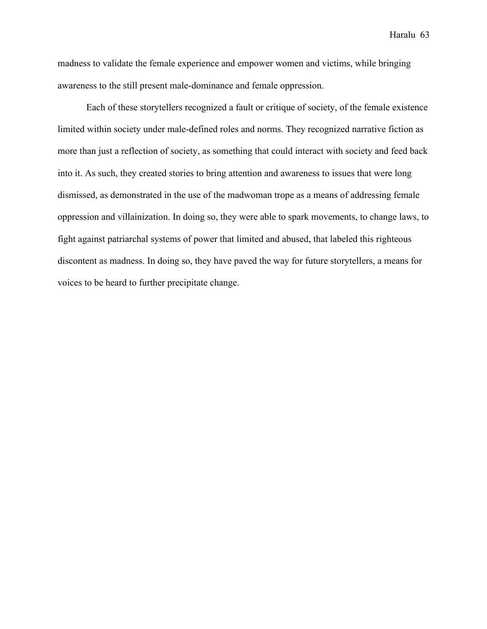madness to validate the female experience and empower women and victims, while bringing awareness to the still present male-dominance and female oppression.

Each of these storytellers recognized a fault or critique of society, of the female existence limited within society under male-defined roles and norms. They recognized narrative fiction as more than just a reflection of society, as something that could interact with society and feed back into it. As such, they created stories to bring attention and awareness to issues that were long dismissed, as demonstrated in the use of the madwoman trope as a means of addressing female oppression and villainization. In doing so, they were able to spark movements, to change laws, to fight against patriarchal systems of power that limited and abused, that labeled this righteous discontent as madness. In doing so, they have paved the way for future storytellers, a means for voices to be heard to further precipitate change.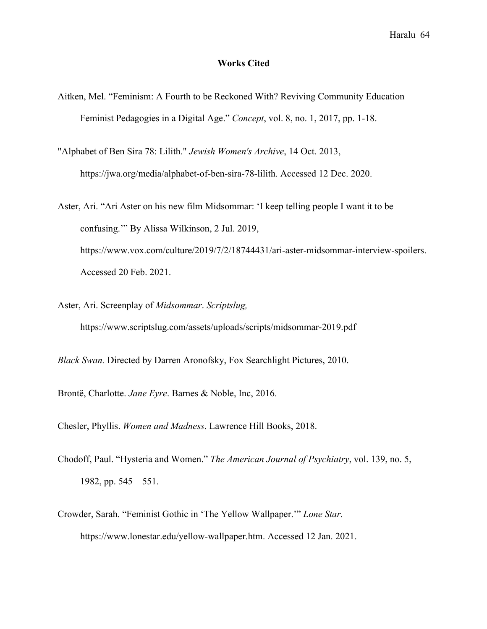#### **Works Cited**

- Aitken, Mel. "Feminism: A Fourth to be Reckoned With? Reviving Community Education Feminist Pedagogies in a Digital Age." *Concept*, vol. 8, no. 1, 2017, pp. 1-18.
- "Alphabet of Ben Sira 78: Lilith." *Jewish Women's Archive*, 14 Oct. 2013, https://jwa.org/media/alphabet-of-ben-sira-78-lilith. Accessed 12 Dec. 2020.
- Aster, Ari. "Ari Aster on his new film Midsommar: 'I keep telling people I want it to be confusing.'" By Alissa Wilkinson, 2 Jul. 2019, https://www.vox.com/culture/2019/7/2/18744431/ari-aster-midsommar-interview-spoilers. Accessed 20 Feb. 2021.
- Aster, Ari. Screenplay of *Midsommar*. *Scriptslug,*  https://www.scriptslug.com/assets/uploads/scripts/midsommar-2019.pdf

*Black Swan.* Directed by Darren Aronofsky, Fox Searchlight Pictures, 2010.

Brontë, Charlotte. *Jane Eyre*. Barnes & Noble, Inc, 2016.

Chesler, Phyllis. *Women and Madness*. Lawrence Hill Books, 2018.

- Chodoff, Paul. "Hysteria and Women." *The American Journal of Psychiatry*, vol. 139, no. 5, 1982, pp.  $545 - 551$ .
- Crowder, Sarah. "Feminist Gothic in 'The Yellow Wallpaper.'" *Lone Star.*  https://www.lonestar.edu/yellow-wallpaper.htm. Accessed 12 Jan. 2021.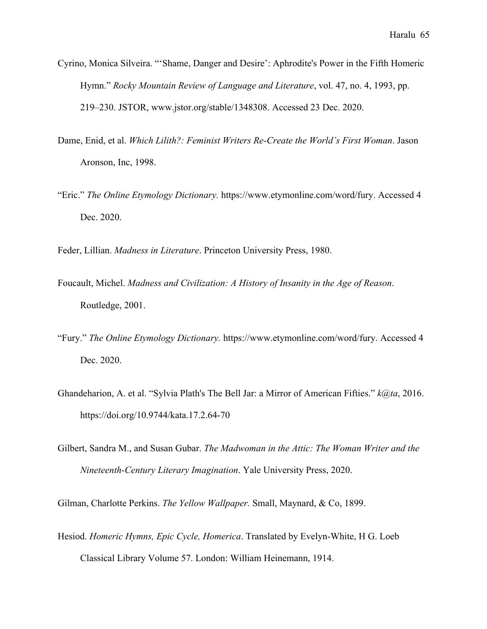- Cyrino, Monica Silveira. "'Shame, Danger and Desire': Aphrodite's Power in the Fifth Homeric Hymn." *Rocky Mountain Review of Language and Literature*, vol. 47, no. 4, 1993, pp. 219–230. JSTOR, www.jstor.org/stable/1348308. Accessed 23 Dec. 2020.
- Dame, Enid, et al. *Which Lilith?: Feminist Writers Re-Create the World's First Woman*. Jason Aronson, Inc, 1998.
- "Eric." *The Online Etymology Dictionary.* https://www.etymonline.com/word/fury. Accessed 4 Dec. 2020.
- Feder, Lillian. *Madness in Literature*. Princeton University Press, 1980.
- Foucault, Michel. *Madness and Civilization: A History of Insanity in the Age of Reason*. Routledge, 2001.
- "Fury." *The Online Etymology Dictionary.* https://www.etymonline.com/word/fury. Accessed 4 Dec. 2020.
- Ghandeharion, A. et al. "Sylvia Plath's The Bell Jar: a Mirror of American Fifties." *k@ta*, 2016. https://doi.org/10.9744/kata.17.2.64-70
- Gilbert, Sandra M., and Susan Gubar. *The Madwoman in the Attic: The Woman Writer and the Nineteenth-Century Literary Imagination*. Yale University Press, 2020.

Gilman, Charlotte Perkins. *The Yellow Wallpaper.* Small, Maynard, & Co, 1899.

Hesiod. *Homeric Hymns, Epic Cycle, Homerica*. Translated by Evelyn-White, H G. Loeb Classical Library Volume 57. London: William Heinemann, 1914.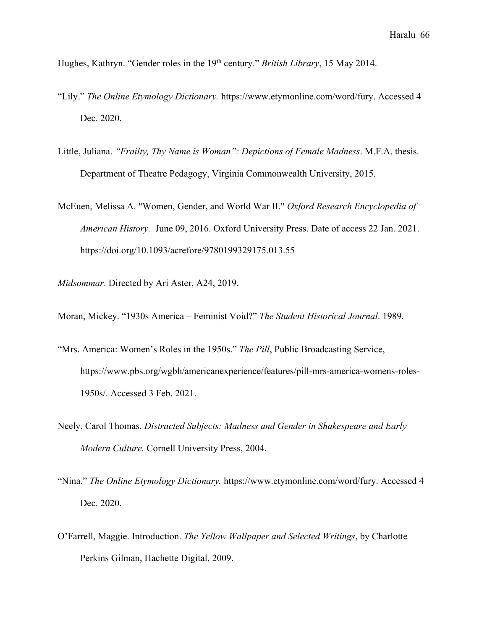Hughes, Kathryn. "Gender roles in the 19th century." *British Library*, 15 May 2014.

- "Lily." *The Online Etymology Dictionary.* https://www.etymonline.com/word/fury. Accessed 4 Dec. 2020.
- Little, Juliana. *"Frailty, Thy Name is Woman": Depictions of Female Madness*. M.F.A. thesis. Department of Theatre Pedagogy, Virginia Commonwealth University, 2015.
- McEuen, Melissa A. "Women, Gender, and World War II." *Oxford Research Encyclopedia of American History.* June 09, 2016. Oxford University Press. Date of access 22 Jan. 2021. https://doi.org/10.1093/acrefore/9780199329175.013.55

*Midsommar*. Directed by Ari Aster, A24, 2019.

Moran, Mickey. "1930s America – Feminist Void?" *The Student Historical Journal*. 1989.

- "Mrs. America: Women's Roles in the 1950s." *The Pill*, Public Broadcasting Service, https://www.pbs.org/wgbh/americanexperience/features/pill-mrs-america-womens-roles-1950s/. Accessed 3 Feb. 2021.
- Neely, Carol Thomas. *Distracted Subjects: Madness and Gender in Shakespeare and Early Modern Culture.* Cornell University Press, 2004.
- "Nina." *The Online Etymology Dictionary.* https://www.etymonline.com/word/fury. Accessed 4 Dec. 2020.
- O'Farrell, Maggie. Introduction. *The Yellow Wallpaper and Selected Writings*, by Charlotte Perkins Gilman, Hachette Digital, 2009.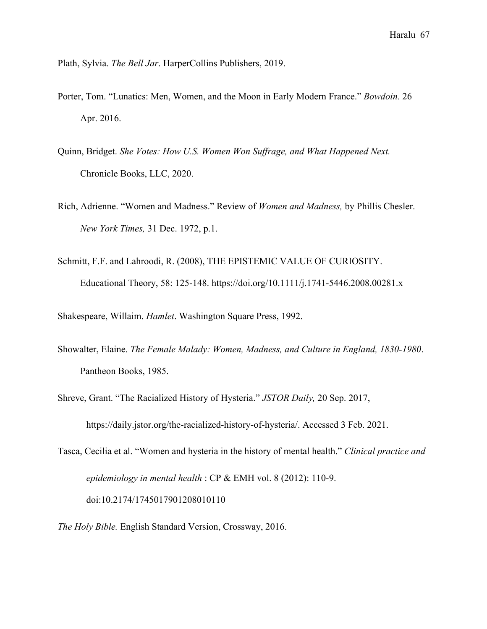Plath, Sylvia. *The Bell Jar*. HarperCollins Publishers, 2019.

- Porter, Tom. "Lunatics: Men, Women, and the Moon in Early Modern France." *Bowdoin.* 26 Apr. 2016.
- Quinn, Bridget. *She Votes: How U.S. Women Won Suffrage, and What Happened Next.* Chronicle Books, LLC, 2020.
- Rich, Adrienne. "Women and Madness." Review of *Women and Madness,* by Phillis Chesler. *New York Times,* 31 Dec. 1972, p.1.
- Schmitt, F.F. and Lahroodi, R. (2008), THE EPISTEMIC VALUE OF CURIOSITY. Educational Theory, 58: 125-148. https://doi.org/10.1111/j.1741-5446.2008.00281.x

Shakespeare, Willaim. *Hamlet*. Washington Square Press, 1992.

- Showalter, Elaine. *The Female Malady: Women, Madness, and Culture in England, 1830-1980*. Pantheon Books, 1985.
- Shreve, Grant. "The Racialized History of Hysteria." *JSTOR Daily,* 20 Sep. 2017, https://daily.jstor.org/the-racialized-history-of-hysteria/. Accessed 3 Feb. 2021.
- Tasca, Cecilia et al. "Women and hysteria in the history of mental health." *Clinical practice and epidemiology in mental health* : CP & EMH vol. 8 (2012): 110-9. doi:10.2174/1745017901208010110
- *The Holy Bible.* English Standard Version, Crossway, 2016.